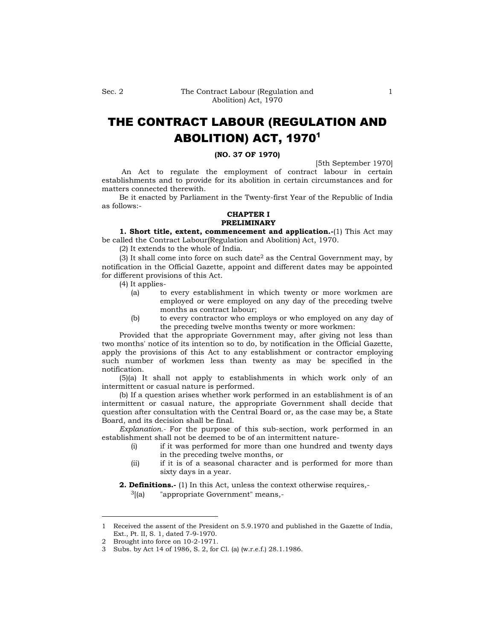# THE CONTRACT LABOUR (REGULATION AND ABOLITION) ACT, 1970<sup>1</sup>

#### **(NO. 37 OF 1970)**

[5th September 1970]

An Act to regulate the employment of contract labour in certain establishments and to provide for its abolition in certain circumstances and for matters connected therewith.

Be it enacted by Parliament in the Twenty-first Year of the Republic of India as follows:-

# **CHAPTER I PRELIMINARY**

**1. Short title, extent, commencement and application.-**(1) This Act may be called the Contract Labour(Regulation and Abolition) Act, 1970.

(2) It extends to the whole of India.

(3) It shall come into force on such date<sup>2</sup> as the Central Government may, by notification in the Official Gazette, appoint and different dates may be appointed for different provisions of this Act.

(4) It applies-

- (a) to every establishment in which twenty or more workmen are employed or were employed on any day of the preceding twelve months as contract labour;
- (b) to every contractor who employs or who employed on any day of the preceding twelve months twenty or more workmen:

Provided that the appropriate Government may, after giving not less than two months' notice of its intention so to do, by notification in the Official Gazette, apply the provisions of this Act to any establishment or contractor employing such number of workmen less than twenty as may be specified in the notification.

(5)(a) It shall not apply to establishments in which work only of an intermittent or casual nature is performed.

(b) If a question arises whether work performed in an establishment is of an intermittent or casual nature, the appropriate Government shall decide that question after consultation with the Central Board or, as the case may be, a State Board, and its decision shall be final.

*Explanation.-* For the purpose of this sub-section, work performed in an establishment shall not be deemed to be of an intermittent nature-

- (i) if it was performed for more than one hundred and twenty days in the preceding twelve months, or
- (ii) if it is of a seasonal character and is performed for more than sixty days in a year.

**2. Definitions.-** (1) In this Act, unless the context otherwise requires,-

 $3$ [(a) "appropriate Government" means,-

<sup>1</sup> Received the assent of the President on 5.9.1970 and published in the Gazette of India, Ext., Pt. II, S. 1, dated 7-9-1970.

<sup>2</sup> Brought into force on 10-2-1971.

<sup>3</sup> Subs. by Act 14 of 1986, S. 2, for Cl. (a) (w.r.e.f.) 28.1.1986.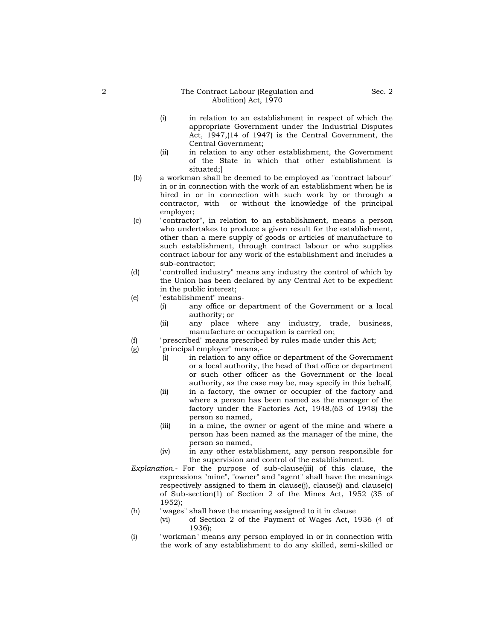#### 2 The Contract Labour (Regulation and Abolition) Act, 1970

- (i) in relation to an establishment in respect of which the appropriate Government under the Industrial Disputes Act, 1947,(14 of 1947) is the Central Government, the Central Government;
- (ii) in relation to any other establishment, the Government of the State in which that other establishment is situated;]
- (b) a workman shall be deemed to be employed as "contract labour" in or in connection with the work of an establishment when he is hired in or in connection with such work by or through a contractor, with or without the knowledge of the principal employer;
- (c) "contractor", in relation to an establishment, means a person who undertakes to produce a given result for the establishment, other than a mere supply of goods or articles of manufacture to such establishment, through contract labour or who supplies contract labour for any work of the establishment and includes a sub-contractor;
- (d) "controlled industry" means any industry the control of which by the Union has been declared by any Central Act to be expedient in the public interest;
- (e) "establishment" means-
	- (i) any office or department of the Government or a local authority; or
	- (ii) any place where any industry, trade, business, manufacture or occupation is carried on;
- (f) "prescribed" means prescribed by rules made under this Act;
- (g) "principal employer" means,-
	- (i) in relation to any office or department of the Government or a local authority, the head of that office or department or such other officer as the Government or the local authority, as the case may be, may specify in this behalf,
	- (ii) in a factory, the owner or occupier of the factory and where a person has been named as the manager of the factory under the Factories Act, 1948,(63 of 1948) the person so named,
	- (iii) in a mine, the owner or agent of the mine and where a person has been named as the manager of the mine, the person so named,
	- (iv) in any other establishment, any person responsible for the supervision and control of the establishment.
- *Explanation.-* For the purpose of sub-clause(iii) of this clause, the expressions "mine", "owner" and "agent" shall have the meanings respectively assigned to them in clause(j), clause(i) and clause(c) of Sub-section(1) of Section 2 of the Mines Act, 1952 (35 of 1952);
- (h) "wages" shall have the meaning assigned to it in clause
	- (vi) of Section 2 of the Payment of Wages Act, 1936 (4 of 1936);
- (i) "workman" means any person employed in or in connection with the work of any establishment to do any skilled, semi-skilled or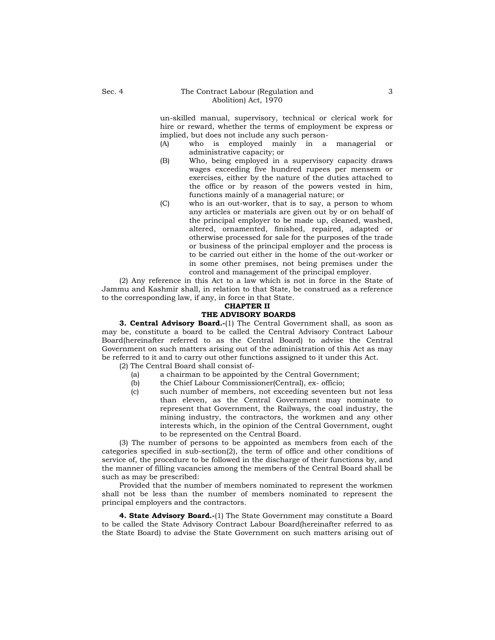un-skilled manual, supervisory, technical or clerical work for hire or reward, whether the terms of employment be express or implied, but does not include any such person-

- (A) who is employed mainly in a managerial or administrative capacity; or
- (B) Who, being employed in a supervisory capacity draws wages exceeding five hundred rupees per mensem or exercises, either by the nature of the duties attached to the office or by reason of the powers vested in him, functions mainly of a managerial nature; or
- (C) who is an out-worker, that is to say, a person to whom any articles or materials are given out by or on behalf of the principal employer to be made up, cleaned, washed, altered, ornamented, finished, repaired, adapted or otherwise processed for sale for the purposes of the trade or business of the principal employer and the process is to be carried out either in the home of the out-worker or in some other premises, not being premises under the control and management of the principal employer.

(2) Any reference in this Act to a law which is not in force in the State of Jammu and Kashmir shall, in relation to that State, be construed as a reference to the corresponding law, if any, in force in that State.

# **CHAPTER II**

# **THE ADVISORY BOARDS**

**3. Central Advisory Board.-**(1) The Central Government shall, as soon as may be, constitute a board to be called the Central Advisory Contract Labour Board(hereinafter referred to as the Central Board) to advise the Central Government on such matters arising out of the administration of this Act as may be referred to it and to carry out other functions assigned to it under this Act.

(2) The Central Board shall consist of-

- (a) a chairman to be appointed by the Central Government;
- (b) the Chief Labour Commissioner(Central), ex- officio;
- (c) such number of members, not exceeding seventeen but not less than eleven, as the Central Government may nominate to represent that Government, the Railways, the coal industry, the mining industry, the contractors, the workmen and any other interests which, in the opinion of the Central Government, ought to be represented on the Central Board.

(3) The number of persons to be appointed as members from each of the categories specified in sub-section(2), the term of office and other conditions of service of, the procedure to be followed in the discharge of their functions by, and the manner of filling vacancies among the members of the Central Board shall be such as may be prescribed:

Provided that the number of members nominated to represent the workmen shall not be less than the number of members nominated to represent the principal employers and the contractors.

**4. State Advisory Board.-**(1) The State Government may constitute a Board to be called the State Advisory Contract Labour Board(hereinafter referred to as the State Board) to advise the State Government on such matters arising out of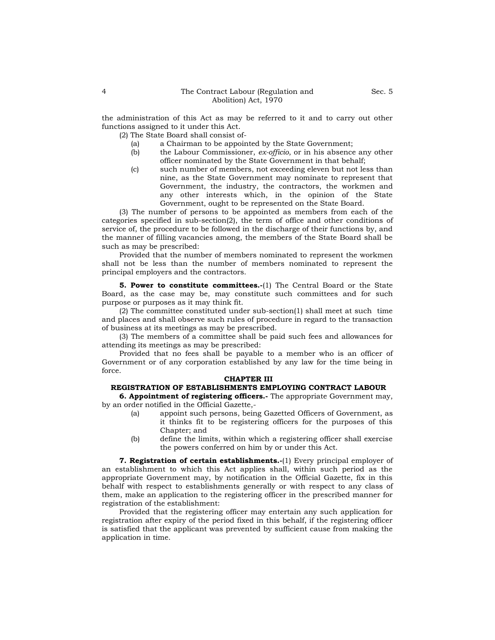the administration of this Act as may be referred to it and to carry out other functions assigned to it under this Act.

(2) The State Board shall consist of-

- (a) a Chairman to be appointed by the State Government;
- (b) the Labour Commissioner, *ex-officio*, or in his absence any other officer nominated by the State Government in that behalf;
- (c) such number of members, not exceeding eleven but not less than nine, as the State Government may nominate to represent that Government, the industry, the contractors, the workmen and any other interests which, in the opinion of the State Government, ought to be represented on the State Board.

(3) The number of persons to be appointed as members from each of the categories specified in sub-section(2), the term of office and other conditions of service of, the procedure to be followed in the discharge of their functions by, and the manner of filling vacancies among, the members of the State Board shall be such as may be prescribed:

Provided that the number of members nominated to represent the workmen shall not be less than the number of members nominated to represent the principal employers and the contractors.

**5. Power to constitute committees.-**(1) The Central Board or the State Board, as the case may be, may constitute such committees and for such purpose or purposes as it may think fit.

(2) The committee constituted under sub-section(1) shall meet at such time and places and shall observe such rules of procedure in regard to the transaction of business at its meetings as may be prescribed.

(3) The members of a committee shall be paid such fees and allowances for attending its meetings as may be prescribed:

Provided that no fees shall be payable to a member who is an officer of Government or of any corporation established by any law for the time being in force.

#### **CHAPTER III**

# **REGISTRATION OF ESTABLISHMENTS EMPLOYING CONTRACT LABOUR**

**6. Appointment of registering officers.-** The appropriate Government may, by an order notified in the Official Gazette,-

- (a) appoint such persons, being Gazetted Officers of Government, as it thinks fit to be registering officers for the purposes of this Chapter; and
- (b) define the limits, within which a registering officer shall exercise the powers conferred on him by or under this Act.

**7. Registration of certain establishments.-**(1) Every principal employer of an establishment to which this Act applies shall, within such period as the appropriate Government may, by notification in the Official Gazette, fix in this behalf with respect to establishments generally or with respect to any class of them, make an application to the registering officer in the prescribed manner for registration of the establishment:

Provided that the registering officer may entertain any such application for registration after expiry of the period fixed in this behalf, if the registering officer is satisfied that the applicant was prevented by sufficient cause from making the application in time.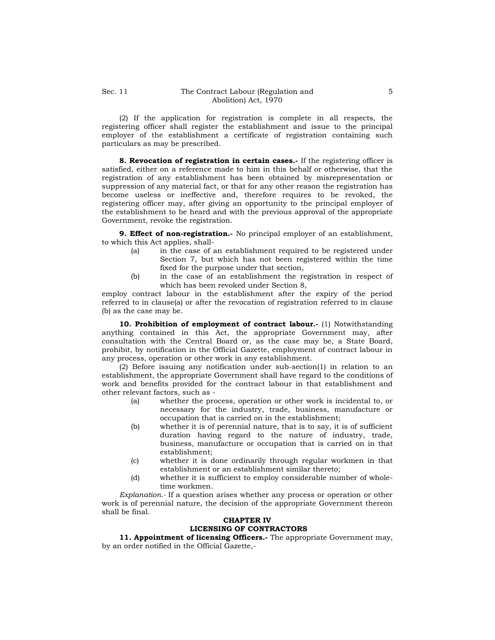(2) If the application for registration is complete in all respects, the registering officer shall register the establishment and issue to the principal employer of the establishment a certificate of registration containing such particulars as may be prescribed.

**8. Revocation of registration in certain cases.-** If the registering officer is satisfied, either on a reference made to him in this behalf or otherwise, that the registration of any establishment has been obtained by misrepresentation or suppression of any material fact, or that for any other reason the registration has become useless or ineffective and, therefore requires to be revoked, the registering officer may, after giving an opportunity to the principal employer of the establishment to be heard and with the previous approval of the appropriate Government, revoke the registration.

**9. Effect of non-registration.-** No principal employer of an establishment, to which this Act applies, shall-

- (a) in the case of an establishment required to be registered under Section 7, but which has not been registered within the time fixed for the purpose under that section,
- (b) in the case of an establishment the registration in respect of which has been revoked under Section 8,

employ contract labour in the establishment after the expiry of the period referred to in clause(a) or after the revocation of registration referred to in clause (b) as the case may be.

**10. Prohibition of employment of contract labour.-** (1) Notwithstanding anything contained in this Act, the appropriate Government may, after consultation with the Central Board or, as the case may be, a State Board, prohibit, by notification in the Official Gazette, employment of contract labour in any process, operation or other work in any establishment.

(2) Before issuing any notification under sub-section(1) in relation to an establishment, the appropriate Government shall have regard to the conditions of work and benefits provided for the contract labour in that establishment and other relevant factors, such as -

- (a) whether the process, operation or other work is incidental to, or necessary for the industry, trade, business, manufacture or occupation that is carried on in the establishment;
- (b) whether it is of perennial nature, that is to say, it is of sufficient duration having regard to the nature of industry, trade, business, manufacture or occupation that is carried on in that establishment;
- (c) whether it is done ordinarily through regular workmen in that establishment or an establishment similar thereto;
- (d) whether it is sufficient to employ considerable number of wholetime workmen.

*Explanation.-* If a question arises whether any process or operation or other work is of perennial nature, the decision of the appropriate Government thereon shall be final.

# **CHAPTER IV LICENSING OF CONTRACTORS**

**11. Appointment of licensing Officers.-** The appropriate Government may, by an order notified in the Official Gazette,-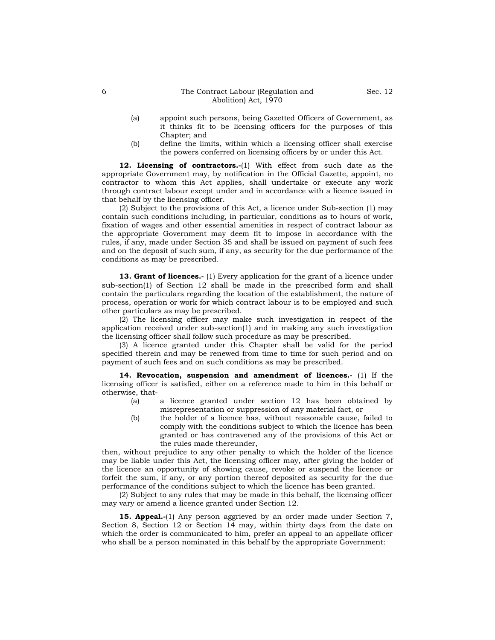- (a) appoint such persons, being Gazetted Officers of Government, as it thinks fit to be licensing officers for the purposes of this Chapter; and
- (b) define the limits, within which a licensing officer shall exercise the powers conferred on licensing officers by or under this Act.

**12. Licensing of contractors.-**(1) With effect from such date as the appropriate Government may, by notification in the Official Gazette, appoint, no contractor to whom this Act applies, shall undertake or execute any work through contract labour except under and in accordance with a licence issued in that behalf by the licensing officer.

(2) Subject to the provisions of this Act, a licence under Sub-section (1) may contain such conditions including, in particular, conditions as to hours of work, fixation of wages and other essential amenities in respect of contract labour as the appropriate Government may deem fit to impose in accordance with the rules, if any, made under Section 35 and shall be issued on payment of such fees and on the deposit of such sum, if any, as security for the due performance of the conditions as may be prescribed.

**13. Grant of licences.-** (1) Every application for the grant of a licence under sub-section(1) of Section 12 shall be made in the prescribed form and shall contain the particulars regarding the location of the establishment, the nature of process, operation or work for which contract labour is to be employed and such other particulars as may be prescribed.

(2) The licensing officer may make such investigation in respect of the application received under sub-section(1) and in making any such investigation the licensing officer shall follow such procedure as may be prescribed.

(3) A licence granted under this Chapter shall be valid for the period specified therein and may be renewed from time to time for such period and on payment of such fees and on such conditions as may be prescribed.

**14. Revocation, suspension and amendment of licences.-** (1) If the licensing officer is satisfied, either on a reference made to him in this behalf or otherwise, that-

- (a) a licence granted under section 12 has been obtained by misrepresentation or suppression of any material fact, or
- (b) the holder of a licence has, without reasonable cause, failed to comply with the conditions subject to which the licence has been granted or has contravened any of the provisions of this Act or the rules made thereunder,

then, without prejudice to any other penalty to which the holder of the licence may be liable under this Act, the licensing officer may, after giving the holder of the licence an opportunity of showing cause, revoke or suspend the licence or forfeit the sum, if any, or any portion thereof deposited as security for the due performance of the conditions subject to which the licence has been granted.

(2) Subject to any rules that may be made in this behalf, the licensing officer may vary or amend a licence granted under Section 12.

**15. Appeal.-**(1) Any person aggrieved by an order made under Section 7, Section 8, Section 12 or Section 14 may, within thirty days from the date on which the order is communicated to him, prefer an appeal to an appellate officer who shall be a person nominated in this behalf by the appropriate Government: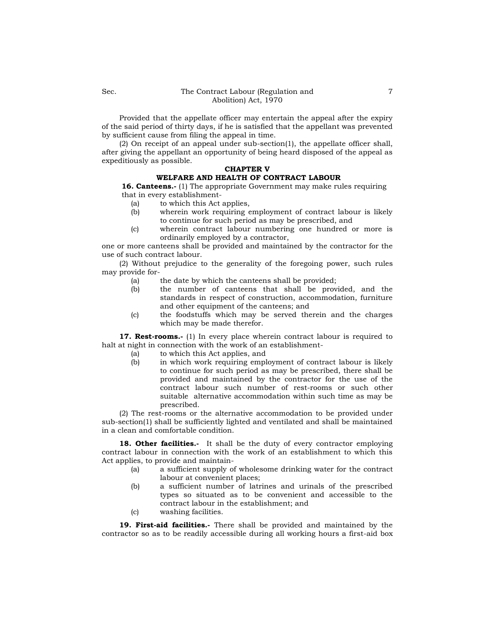Provided that the appellate officer may entertain the appeal after the expiry of the said period of thirty days, if he is satisfied that the appellant was prevented by sufficient cause from filing the appeal in time.

(2) On receipt of an appeal under sub-section(1), the appellate officer shall, after giving the appellant an opportunity of being heard disposed of the appeal as expeditiously as possible.

# **CHAPTER V**

# **WELFARE AND HEALTH OF CONTRACT LABOUR**

**16. Canteens.-** (1) The appropriate Government may make rules requiring that in every establishment-

- (a) to which this Act applies,
- (b) wherein work requiring employment of contract labour is likely to continue for such period as may be prescribed, and
- (c) wherein contract labour numbering one hundred or more is ordinarily employed by a contractor,

one or more canteens shall be provided and maintained by the contractor for the use of such contract labour.

(2) Without prejudice to the generality of the foregoing power, such rules may provide for-

- (a) the date by which the canteens shall be provided;
- (b) the number of canteens that shall be provided, and the standards in respect of construction, accommodation, furniture and other equipment of the canteens; and
- (c) the foodstuffs which may be served therein and the charges which may be made therefor.

**17. Rest-rooms.-** (1) In every place wherein contract labour is required to halt at night in connection with the work of an establishment-

- (a) to which this Act applies, and
- (b) in which work requiring employment of contract labour is likely to continue for such period as may be prescribed, there shall be provided and maintained by the contractor for the use of the contract labour such number of rest-rooms or such other suitable alternative accommodation within such time as may be prescribed.

(2) The rest-rooms or the alternative accommodation to be provided under sub-section(1) shall be sufficiently lighted and ventilated and shall be maintained in a clean and comfortable condition.

18. Other facilities.- It shall be the duty of every contractor employing contract labour in connection with the work of an establishment to which this Act applies, to provide and maintain-

- (a) a sufficient supply of wholesome drinking water for the contract labour at convenient places;
- (b) a sufficient number of latrines and urinals of the prescribed types so situated as to be convenient and accessible to the contract labour in the establishment; and
- (c) washing facilities.

**19. First-aid facilities.-** There shall be provided and maintained by the contractor so as to be readily accessible during all working hours a first-aid box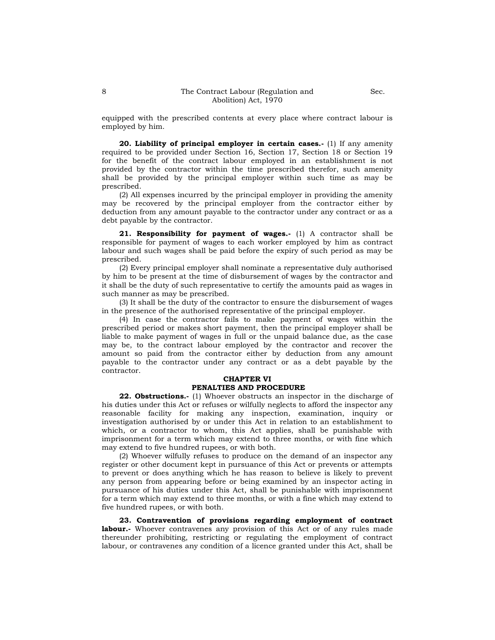**20. Liability of principal employer in certain cases.-** (1) If any amenity required to be provided under Section 16, Section 17, Section 18 or Section 19 for the benefit of the contract labour employed in an establishment is not provided by the contractor within the time prescribed therefor, such amenity shall be provided by the principal employer within such time as may be prescribed.

(2) All expenses incurred by the principal employer in providing the amenity may be recovered by the principal employer from the contractor either by deduction from any amount payable to the contractor under any contract or as a debt payable by the contractor.

**21. Responsibility for payment of wages.-** (1) A contractor shall be responsible for payment of wages to each worker employed by him as contract labour and such wages shall be paid before the expiry of such period as may be prescribed.

(2) Every principal employer shall nominate a representative duly authorised by him to be present at the time of disbursement of wages by the contractor and it shall be the duty of such representative to certify the amounts paid as wages in such manner as may be prescribed.

(3) It shall be the duty of the contractor to ensure the disbursement of wages in the presence of the authorised representative of the principal employer.

(4) In case the contractor fails to make payment of wages within the prescribed period or makes short payment, then the principal employer shall be liable to make payment of wages in full or the unpaid balance due, as the case may be, to the contract labour employed by the contractor and recover the amount so paid from the contractor either by deduction from any amount payable to the contractor under any contract or as a debt payable by the contractor.

## **CHAPTER VI PENALTIES AND PROCEDURE**

**22. Obstructions.-** (1) Whoever obstructs an inspector in the discharge of his duties under this Act or refuses or wilfully neglects to afford the inspector any reasonable facility for making any inspection, examination, inquiry or investigation authorised by or under this Act in relation to an establishment to which, or a contractor to whom, this Act applies, shall be punishable with imprisonment for a term which may extend to three months, or with fine which may extend to five hundred rupees, or with both.

(2) Whoever wilfully refuses to produce on the demand of an inspector any register or other document kept in pursuance of this Act or prevents or attempts to prevent or does anything which he has reason to believe is likely to prevent any person from appearing before or being examined by an inspector acting in pursuance of his duties under this Act, shall be punishable with imprisonment for a term which may extend to three months, or with a fine which may extend to five hundred rupees, or with both.

**23. Contravention of provisions regarding employment of contract labour.-** Whoever contravenes any provision of this Act or of any rules made thereunder prohibiting, restricting or regulating the employment of contract labour, or contravenes any condition of a licence granted under this Act, shall be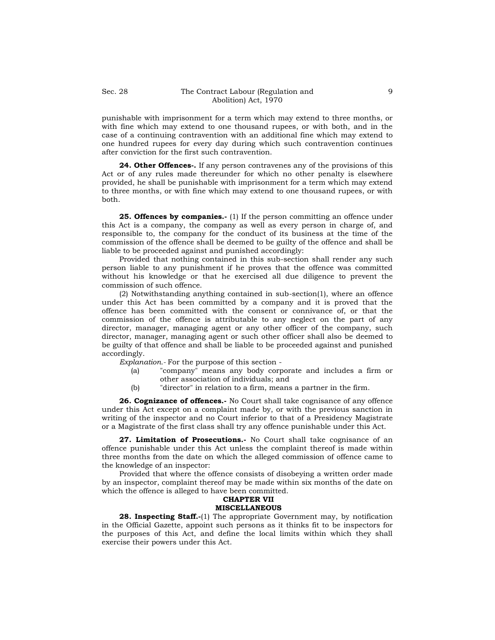punishable with imprisonment for a term which may extend to three months, or with fine which may extend to one thousand rupees, or with both, and in the case of a continuing contravention with an additional fine which may extend to one hundred rupees for every day during which such contravention continues after conviction for the first such contravention.

**24. Other Offences-.** If any person contravenes any of the provisions of this Act or of any rules made thereunder for which no other penalty is elsewhere provided, he shall be punishable with imprisonment for a term which may extend to three months, or with fine which may extend to one thousand rupees, or with both.

**25. Offences by companies.-** (1) If the person committing an offence under this Act is a company, the company as well as every person in charge of, and responsible to, the company for the conduct of its business at the time of the commission of the offence shall be deemed to be guilty of the offence and shall be liable to be proceeded against and punished accordingly:

Provided that nothing contained in this sub-section shall render any such person liable to any punishment if he proves that the offence was committed without his knowledge or that he exercised all due diligence to prevent the commission of such offence.

(2) Notwithstanding anything contained in sub-section(1), where an offence under this Act has been committed by a company and it is proved that the offence has been committed with the consent or connivance of, or that the commission of the offence is attributable to any neglect on the part of any director, manager, managing agent or any other officer of the company, such director, manager, managing agent or such other officer shall also be deemed to be guilty of that offence and shall be liable to be proceeded against and punished accordingly.

*Explanation.-* For the purpose of this section -

- (a) "company" means any body corporate and includes a firm or other association of individuals; and
- (b) "director" in relation to a firm, means a partner in the firm.

**26. Cognizance of offences.-** No Court shall take cognisance of any offence under this Act except on a complaint made by, or with the previous sanction in writing of the inspector and no Court inferior to that of a Presidency Magistrate or a Magistrate of the first class shall try any offence punishable under this Act.

27. Limitation of Prosecutions.- No Court shall take cognisance of an offence punishable under this Act unless the complaint thereof is made within three months from the date on which the alleged commission of offence came to the knowledge of an inspector:

Provided that where the offence consists of disobeying a written order made by an inspector, complaint thereof may be made within six months of the date on which the offence is alleged to have been committed.

#### **CHAPTER VII MISCELLANEOUS**

**28. Inspecting Staff.-**(1) The appropriate Government may, by notification in the Official Gazette, appoint such persons as it thinks fit to be inspectors for the purposes of this Act, and define the local limits within which they shall exercise their powers under this Act.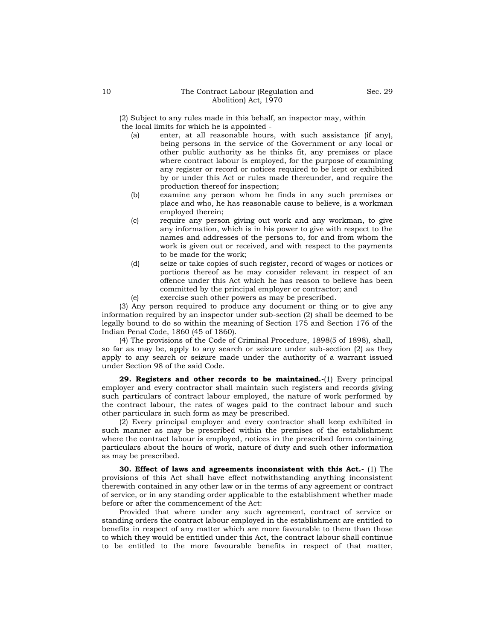(2) Subject to any rules made in this behalf, an inspector may, within the local limits for which he is appointed -

- (a) enter, at all reasonable hours, with such assistance (if any), being persons in the service of the Government or any local or other public authority as he thinks fit, any premises or place where contract labour is employed, for the purpose of examining any register or record or notices required to be kept or exhibited by or under this Act or rules made thereunder, and require the production thereof for inspection;
- (b) examine any person whom he finds in any such premises or place and who, he has reasonable cause to believe, is a workman employed therein;
- (c) require any person giving out work and any workman, to give any information, which is in his power to give with respect to the names and addresses of the persons to, for and from whom the work is given out or received, and with respect to the payments to be made for the work;
- (d) seize or take copies of such register, record of wages or notices or portions thereof as he may consider relevant in respect of an offence under this Act which he has reason to believe has been committed by the principal employer or contractor; and
- (e) exercise such other powers as may be prescribed.

(3) Any person required to produce any document or thing or to give any information required by an inspector under sub-section (2) shall be deemed to be legally bound to do so within the meaning of Section 175 and Section 176 of the Indian Penal Code, 1860 (45 of 1860).

(4) The provisions of the Code of Criminal Procedure, 1898(5 of 1898), shall, so far as may be, apply to any search or seizure under sub-section (2) as they apply to any search or seizure made under the authority of a warrant issued under Section 98 of the said Code.

**29. Registers and other records to be maintained.-**(1) Every principal employer and every contractor shall maintain such registers and records giving such particulars of contract labour employed, the nature of work performed by the contract labour, the rates of wages paid to the contract labour and such other particulars in such form as may be prescribed.

(2) Every principal employer and every contractor shall keep exhibited in such manner as may be prescribed within the premises of the establishment where the contract labour is employed, notices in the prescribed form containing particulars about the hours of work, nature of duty and such other information as may be prescribed.

**30. Effect of laws and agreements inconsistent with this Act.-** (1) The provisions of this Act shall have effect notwithstanding anything inconsistent therewith contained in any other law or in the terms of any agreement or contract of service, or in any standing order applicable to the establishment whether made before or after the commencement of the Act:

Provided that where under any such agreement, contract of service or standing orders the contract labour employed in the establishment are entitled to benefits in respect of any matter which are more favourable to them than those to which they would be entitled under this Act, the contract labour shall continue to be entitled to the more favourable benefits in respect of that matter,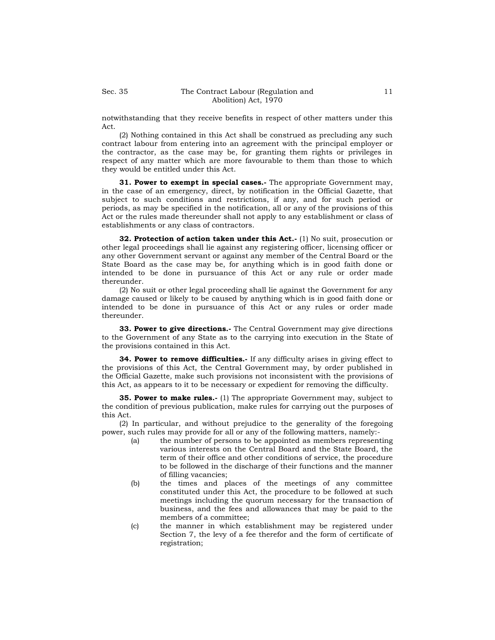notwithstanding that they receive benefits in respect of other matters under this Act.

(2) Nothing contained in this Act shall be construed as precluding any such contract labour from entering into an agreement with the principal employer or the contractor, as the case may be, for granting them rights or privileges in respect of any matter which are more favourable to them than those to which they would be entitled under this Act.

**31. Power to exempt in special cases.-** The appropriate Government may, in the case of an emergency, direct, by notification in the Official Gazette, that subject to such conditions and restrictions, if any, and for such period or periods, as may be specified in the notification, all or any of the provisions of this Act or the rules made thereunder shall not apply to any establishment or class of establishments or any class of contractors.

**32. Protection of action taken under this Act.-** (1) No suit, prosecution or other legal proceedings shall lie against any registering officer, licensing officer or any other Government servant or against any member of the Central Board or the State Board as the case may be, for anything which is in good faith done or intended to be done in pursuance of this Act or any rule or order made thereunder.

(2) No suit or other legal proceeding shall lie against the Government for any damage caused or likely to be caused by anything which is in good faith done or intended to be done in pursuance of this Act or any rules or order made thereunder.

**33. Power to give directions.-** The Central Government may give directions to the Government of any State as to the carrying into execution in the State of the provisions contained in this Act.

**34. Power to remove difficulties.**- If any difficulty arises in giving effect to the provisions of this Act, the Central Government may, by order published in the Official Gazette, make such provisions not inconsistent with the provisions of this Act, as appears to it to be necessary or expedient for removing the difficulty.

**35. Power to make rules.**- (1) The appropriate Government may, subject to the condition of previous publication, make rules for carrying out the purposes of this Act.

(2) In particular, and without prejudice to the generality of the foregoing power, such rules may provide for all or any of the following matters, namely:-

- (a) the number of persons to be appointed as members representing various interests on the Central Board and the State Board, the term of their office and other conditions of service, the procedure to be followed in the discharge of their functions and the manner of filling vacancies;
- (b) the times and places of the meetings of any committee constituted under this Act, the procedure to be followed at such meetings including the quorum necessary for the transaction of business, and the fees and allowances that may be paid to the members of a committee;
- (c) the manner in which establishment may be registered under Section 7, the levy of a fee therefor and the form of certificate of registration;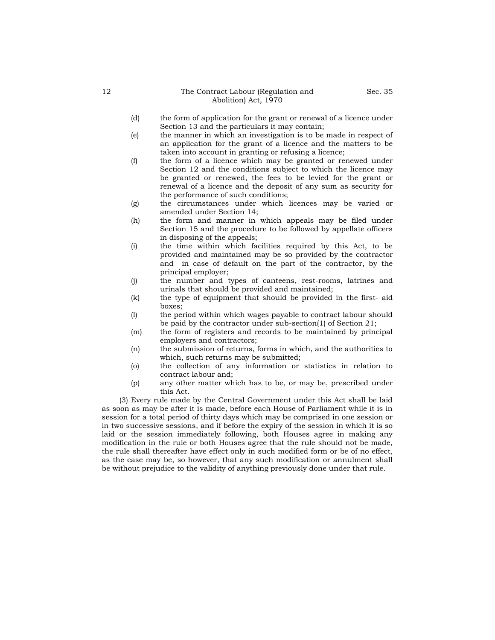- (e) the manner in which an investigation is to be made in respect of an application for the grant of a licence and the matters to be taken into account in granting or refusing a licence;
- (f) the form of a licence which may be granted or renewed under Section 12 and the conditions subject to which the licence may be granted or renewed, the fees to be levied for the grant or renewal of a licence and the deposit of any sum as security for the performance of such conditions;
- (g) the circumstances under which licences may be varied or amended under Section 14;
- (h) the form and manner in which appeals may be filed under Section 15 and the procedure to be followed by appellate officers in disposing of the appeals;
- (i) the time within which facilities required by this Act, to be provided and maintained may be so provided by the contractor and in case of default on the part of the contractor, by the principal employer;
- (j) the number and types of canteens, rest-rooms, latrines and urinals that should be provided and maintained;
- (k) the type of equipment that should be provided in the first- aid boxes;
- (l) the period within which wages payable to contract labour should be paid by the contractor under sub-section(1) of Section 21;
- (m) the form of registers and records to be maintained by principal employers and contractors;
- (n) the submission of returns, forms in which, and the authorities to which, such returns may be submitted;
- (o) the collection of any information or statistics in relation to contract labour and;
- (p) any other matter which has to be, or may be, prescribed under this Act.

(3) Every rule made by the Central Government under this Act shall be laid as soon as may be after it is made, before each House of Parliament while it is in session for a total period of thirty days which may be comprised in one session or in two successive sessions, and if before the expiry of the session in which it is so laid or the session immediately following, both Houses agree in making any modification in the rule or both Houses agree that the rule should not be made, the rule shall thereafter have effect only in such modified form or be of no effect, as the case may be, so however, that any such modification or annulment shall be without prejudice to the validity of anything previously done under that rule.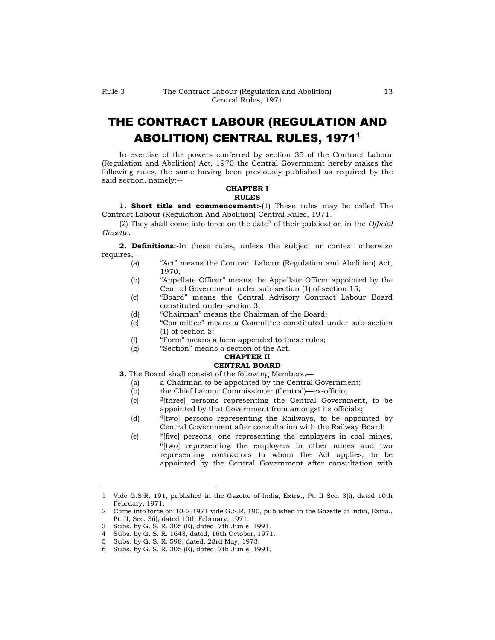# THE CONTRACT LABOUR (REGULATION AND ABOLITION) CENTRAL RULES, 1971<sup>1</sup>

In exercise of the powers conferred by section 35 of the Contract Labour (Regulation and Abolition) Act, 1970 the Central Government hereby makes the following rules, the same having been previously published as required by the said section, namely:--

### **CHAPTER I RULES**

**1. Short title and commencement:-**(1) These rules may be called The Contract Labour (Regulation And Abolition) Central Rules, 1971.

(2) They shall come into force on the date<sup>2</sup> of their publication in the *Official Gazette*.

**2. Definitions:-**In these rules, unless the subject or context otherwise requires,—

- (a) "Act" means the Contract Labour (Regulation and Abolition) Act, 1970;
- (b) "Appellate Officer" means the Appellate Officer appointed by the Central Government under sub-section (1) of section 15;
- (c) "Board" means the Central Advisory Contract Labour Board constituted under section 3;
- (d) "Chairman" means the Chairman of the Board;
- (e) "Committee" means a Committee constituted under sub-section (1) of section 5;
- (f) "Form" means a form appended to these rules;
- (g) "Section" means a section of the Act.

# **CHAPTER II**

# **CENTRAL BOARD**

- **3.** The Board shall consist of the following Members.—
	- (a) a Chairman to be appointed by the Central Government;
	- (b) the Chief Labour Commissioner (Central)—ex-officio;
	- $\lvert c \rvert$  3[three] persons representing the Central Government, to be appointed by that Government from amongst its officials;
	- (d) <sup>4</sup>[two] persons representing the Railways, to be appointed by Central Government after consultation with the Railway Board;
	- (e) <sup>5</sup>[five] persons, one representing the employers in coal mines,  $6$ [two] representing the employers in other mines and two representing contractors to whom the Act applies, to be appointed by the Central Government after consultation with

- 4 Subs. by G. S. R. 1643, dated, 16th October, 1971.
- 5 Subs. by G. S. R. 598, dated, 23rd May, 1973.

<sup>1</sup> Vide G.S.R. 191, published in the Gazette of India, Extra., Pt. II Sec. 3(i), dated 10th February, 1971.

<sup>2</sup> Came into force on 10-2-1971 vide G.S.R. 190, published in the Gazette of India, Extra., Pt. II, Sec. 3(i), dated 10th February, 1971.

<sup>3</sup> Subs. by G. S. R. 305 (E), dated, 7th Jun e, 1991.

<sup>6</sup> Subs. by G. S. R. 305 (E), dated, 7th Jun e, 1991.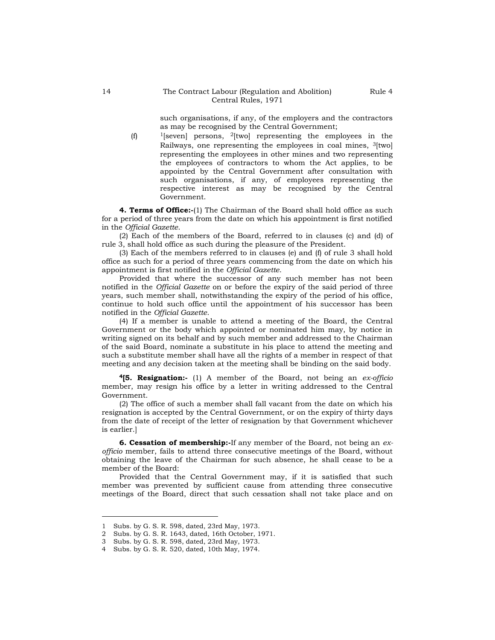such organisations, if any, of the employers and the contractors as may be recognised by the Central Government;

(f) <sup>1</sup>[seven] persons, 2[two] representing the employees in the Railways, one representing the employees in coal mines,  $3$ [two] representing the employees in other mines and two representing the employees of contractors to whom the Act applies, to be appointed by the Central Government after consultation with such organisations, if any, of employees representing the respective interest as may be recognised by the Central Government.

**4. Terms of Office:-**(1) The Chairman of the Board shall hold office as such for a period of three years from the date on which his appointment is first notified in the *Official Gazette*.

(2) Each of the members of the Board, referred to in clauses (c) and (d) of rule 3, shall hold office as such during the pleasure of the President.

(3) Each of the members referred to in clauses (e) and (f) of rule 3 shall hold office as such for a period of three years commencing from the date on which his appointment is first notified in the *Official Gazette*.

Provided that where the successor of any such member has not been notified in the *Official Gazette* on or before the expiry of the said period of three years, such member shall, notwithstanding the expiry of the period of his office, continue to hold such office until the appointment of his successor has been notified in the *Official Gazette*.

(4) If a member is unable to attend a meeting of the Board, the Central Government or the body which appointed or nominated him may, by notice in writing signed on its behalf and by such member and addressed to the Chairman of the said Board, nominate a substitute in his place to attend the meeting and such a substitute member shall have all the rights of a member in respect of that meeting and any decision taken at the meeting shall be binding on the said body.

**<sup>4</sup>[5. Resignation:-** (1) A member of the Board, not being an *ex-officio* member, may resign his office by a letter in writing addressed to the Central Government.

(2) The office of such a member shall fall vacant from the date on which his resignation is accepted by the Central Government, or on the expiry of thirty days from the date of receipt of the letter of resignation by that Government whichever is earlier.]

**6. Cessation of membership:-**If any member of the Board, not being an *exofficio* member, fails to attend three consecutive meetings of the Board, without obtaining the leave of the Chairman for such absence, he shall cease to be a member of the Board:

Provided that the Central Government may, if it is satisfied that such member was prevented by sufficient cause from attending three consecutive meetings of the Board, direct that such cessation shall not take place and on

<sup>1</sup> Subs. by G. S. R. 598, dated, 23rd May, 1973.

<sup>2</sup> Subs. by G. S. R. 1643, dated, 16th October, 1971.

<sup>3</sup> Subs. by G. S. R. 598, dated, 23rd May, 1973.

<sup>4</sup> Subs. by G. S. R. 520, dated, 10th May, 1974.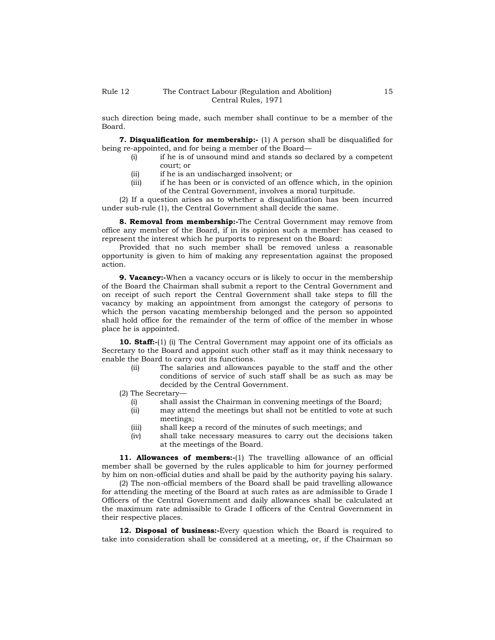such direction being made, such member shall continue to be a member of the Board.

**7. Disqualification for membership:-** (1) A person shall be disqualified for being re-appointed, and for being a member of the Board—

- (i) if he is of unsound mind and stands so declared by a competent court; or
- (ii) if he is an undischarged insolvent; or
- (iii) if he has been or is convicted of an offence which, in the opinion of the Central Government, involves a moral turpitude.

(2) If a question arises as to whether a disqualification has been incurred under sub-rule (1), the Central Government shall decide the same.

**8. Removal from membership:-**The Central Government may remove from office any member of the Board, if in its opinion such a member has ceased to represent the interest which he purports to represent on the Board:

Provided that no such member shall be removed unless a reasonable opportunity is given to him of making any representation against the proposed action.

**9. Vacancy:-**When a vacancy occurs or is likely to occur in the membership of the Board the Chairman shall submit a report to the Central Government and on receipt of such report the Central Government shall take steps to fill the vacancy by making an appointment from amongst the category of persons to which the person vacating membership belonged and the person so appointed shall hold office for the remainder of the term of office of the member in whose place he is appointed.

**10. Staff:-**(1) (i) The Central Government may appoint one of its officials as Secretary to the Board and appoint such other staff as it may think necessary to enable the Board to carry out its functions.

(ii) The salaries and allowances payable to the staff and the other conditions of service of such staff shall be as such as may be decided by the Central Government.

(2) The Secretary—

- (i) shall assist the Chairman in convening meetings of the Board;
- (ii) may attend the meetings but shall not be entitled to vote at such meetings;
- (iii) shall keep a record of the minutes of such meetings; and
- (iv) shall take necessary measures to carry out the decisions taken at the meetings of the Board.

11. **Allowances of members:-**(1) The travelling allowance of an official member shall be governed by the rules applicable to him for journey performed by him on non-official duties and shall be paid by the authority paying his salary.

(2) The non-official members of the Board shall be paid travelling allowance for attending the meeting of the Board at such rates as are admissible to Grade I Officers of the Central Government and daily allowances shall be calculated at the maximum rate admissible to Grade I officers of the Central Government in their respective places.

**12. Disposal of business:-**Every question which the Board is required to take into consideration shall be considered at a meeting, or, if the Chairman so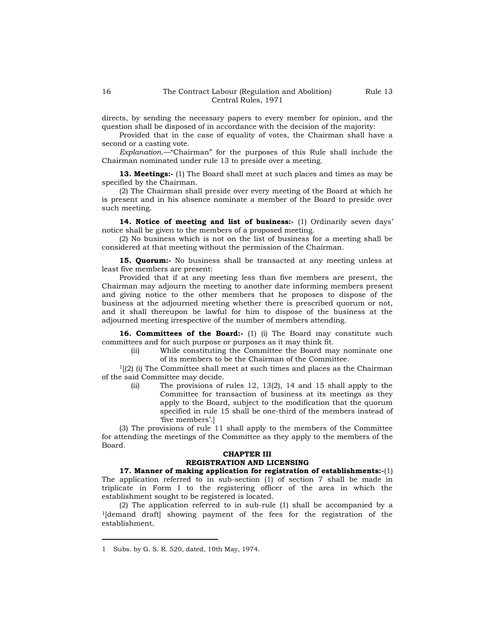directs, by sending the necessary papers to every member for opinion, and the question shall be disposed of in accordance with the decision of the majority:

Provided that in the case of equality of votes, the Chairman shall have a second or a casting vote.

*Explanation.—*"Chairman" for the purposes of this Rule shall include the Chairman nominated under rule 13 to preside over a meeting.

**13. Meetings:-** (1) The Board shall meet at such places and times as may be specified by the Chairman.

(2) The Chairman shall preside over every meeting of the Board at which he is present and in his absence nominate a member of the Board to preside over such meeting.

**14. Notice of meeting and list of business:-** (1) Ordinarily seven days" notice shall be given to the members of a proposed meeting.

(2) No business which is not on the list of business for a meeting shall be considered at that meeting without the permission of the Chairman.

**15. Quorum:-** No business shall be transacted at any meeting unless at least five members are present:

Provided that if at any meeting less than five members are present, the Chairman may adjourn the meeting to another date informing members present and giving notice to the other members that he proposes to dispose of the business at the adjourned meeting whether there is prescribed quorum or not, and it shall thereupon be lawful for him to dispose of the business at the adjourned meeting irrespective of the number of members attending.

16. **Committees of the Board:-** (1) (i) The Board may constitute such committees and for such purpose or purposes as it may think fit.

> (ii) While constituting the Committee the Board may nominate one of its members to be the Chairman of the Committee.

 $\frac{1}{2}$  (2) (i) The Committee shall meet at such times and places as the Chairman of the said Committee may decide.

> (ii) The provisions of rules 12, 13(2), 14 and 15 shall apply to the Committee for transaction of business at its meetings as they apply to the Board, subject to the modification that the quorum specified in rule 15 shall be one-third of the members instead of 'five members'.]

(3) The provisions of rule 11 shall apply to the members of the Committee for attending the meetings of the Committee as they apply to the members of the Board.

# **CHAPTER III REGISTRATION AND LICENSING**

**17. Manner of making application for registration of establishments:-**(1) The application referred to in sub-section (1) of section 7 shall be made in triplicate in Form I to the registering officer of the area in which the establishment sought to be registered is located.

(2) The application referred to in sub-rule (1) shall be accompanied by a <sup>1</sup>[demand draft] showing payment of the fees for the registration of the establishment.

<sup>1</sup> Subs. by G. S. R. 520, dated, 10th May, 1974.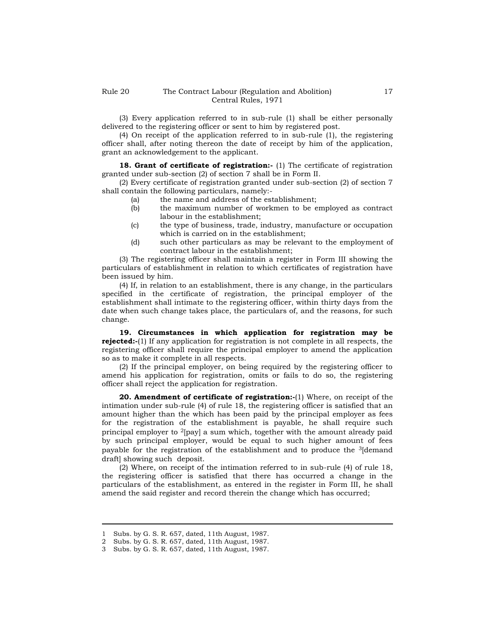(3) Every application referred to in sub-rule (1) shall be either personally delivered to the registering officer or sent to him by registered post.

(4) On receipt of the application referred to in sub-rule (1), the registering officer shall, after noting thereon the date of receipt by him of the application, grant an acknowledgement to the applicant.

**18. Grant of certificate of registration:-** (1) The certificate of registration granted under sub-section (2) of section 7 shall be in Form II.

(2) Every certificate of registration granted under sub-section (2) of section 7 shall contain the following particulars, namely:-

- (a) the name and address of the establishment;
- (b) the maximum number of workmen to be employed as contract labour in the establishment;
- (c) the type of business, trade, industry, manufacture or occupation which is carried on in the establishment;
- (d) such other particulars as may be relevant to the employment of contract labour in the establishment;

(3) The registering officer shall maintain a register in Form III showing the particulars of establishment in relation to which certificates of registration have been issued by him.

(4) If, in relation to an establishment, there is any change, in the particulars specified in the certificate of registration, the principal employer of the establishment shall intimate to the registering officer, within thirty days from the date when such change takes place, the particulars of, and the reasons, for such change.

**19. Circumstances in which application for registration may be rejected:-**(1) If any application for registration is not complete in all respects, the registering officer shall require the principal employer to amend the application so as to make it complete in all respects.

(2) If the principal employer, on being required by the registering officer to amend his application for registration, omits or fails to do so, the registering officer shall reject the application for registration.

**20. Amendment of certificate of registration:-**(1) Where, on receipt of the intimation under sub-rule (4) of rule 18, the registering officer is satisfied that an amount higher than the which has been paid by the principal employer as fees for the registration of the establishment is payable, he shall require such principal employer to 2[pay] a sum which, together with the amount already paid by such principal employer, would be equal to such higher amount of fees payable for the registration of the establishment and to produce the 3[demand draft] showing such deposit.

(2) Where, on receipt of the intimation referred to in sub-rule (4) of rule 18, the registering officer is satisfied that there has occurred a change in the particulars of the establishment, as entered in the register in Form III, he shall amend the said register and record therein the change which has occurred;

<sup>1</sup> Subs. by G. S. R. 657, dated, 11th August, 1987.

<sup>2</sup> Subs. by G. S. R. 657, dated, 11th August, 1987.

<sup>3</sup> Subs. by G. S. R. 657, dated, 11th August, 1987.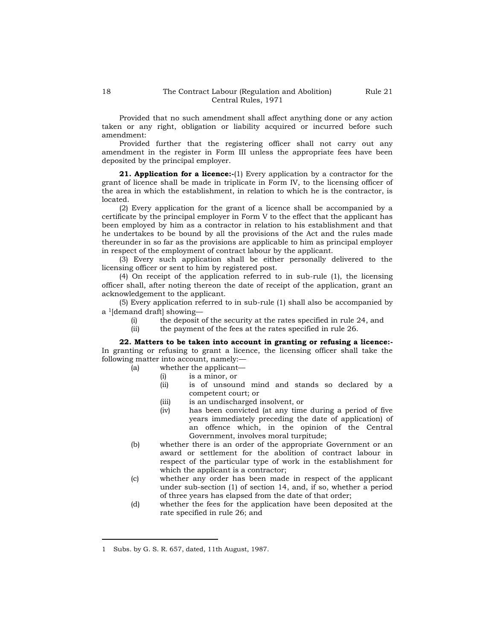Provided that no such amendment shall affect anything done or any action taken or any right, obligation or liability acquired or incurred before such amendment:

Provided further that the registering officer shall not carry out any amendment in the register in Form III unless the appropriate fees have been deposited by the principal employer.

**21. Application for a licence:-**(1) Every application by a contractor for the grant of licence shall be made in triplicate in Form IV, to the licensing officer of the area in which the establishment, in relation to which he is the contractor, is located.

(2) Every application for the grant of a licence shall be accompanied by a certificate by the principal employer in Form V to the effect that the applicant has been employed by him as a contractor in relation to his establishment and that he undertakes to be bound by all the provisions of the Act and the rules made thereunder in so far as the provisions are applicable to him as principal employer in respect of the employment of contract labour by the applicant.

(3) Every such application shall be either personally delivered to the licensing officer or sent to him by registered post.

(4) On receipt of the application referred to in sub-rule (1), the licensing officer shall, after noting thereon the date of receipt of the application, grant an acknowledgement to the applicant.

(5) Every application referred to in sub-rule (1) shall also be accompanied by a 1[demand draft] showing—

- (i) the deposit of the security at the rates specified in rule 24, and
- (ii) the payment of the fees at the rates specified in rule 26.

**22. Matters to be taken into account in granting or refusing a licence:-** In granting or refusing to grant a licence, the licensing officer shall take the following matter into account, namely:—

- (a) whether the applicant—
	- (i) is a minor, or
	- (ii) is of unsound mind and stands so declared by a competent court; or
	- (iii) is an undischarged insolvent, or
	- (iv) has been convicted (at any time during a period of five years immediately preceding the date of application) of an offence which, in the opinion of the Central Government, involves moral turpitude;
- (b) whether there is an order of the appropriate Government or an award or settlement for the abolition of contract labour in respect of the particular type of work in the establishment for which the applicant is a contractor;
- (c) whether any order has been made in respect of the applicant under sub-section (1) of section 14, and, if so, whether a period of three years has elapsed from the date of that order;
- (d) whether the fees for the application have been deposited at the rate specified in rule 26; and

<sup>1</sup> Subs. by G. S. R. 657, dated, 11th August, 1987.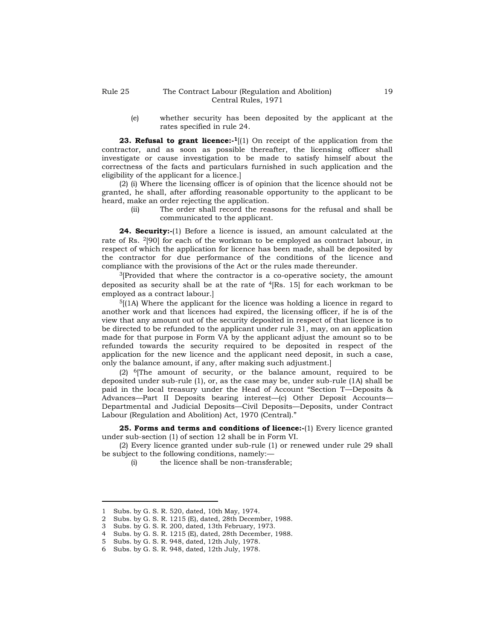(e) whether security has been deposited by the applicant at the rates specified in rule 24.

**23. Refusal to grant licence:** <sup>1</sup>[(1) On receipt of the application from the contractor, and as soon as possible thereafter, the licensing officer shall investigate or cause investigation to be made to satisfy himself about the correctness of the facts and particulars furnished in such application and the eligibility of the applicant for a licence.]

(2) (i) Where the licensing officer is of opinion that the licence should not be granted, he shall, after affording reasonable opportunity to the applicant to be heard, make an order rejecting the application.

(ii) The order shall record the reasons for the refusal and shall be communicated to the applicant.

**24. Security:-**(1) Before a licence is issued, an amount calculated at the rate of Rs. 2[90] for each of the workman to be employed as contract labour, in respect of which the application for licence has been made, shall be deposited by the contractor for due performance of the conditions of the licence and compliance with the provisions of the Act or the rules made thereunder.

 $3$ [Provided that where the contractor is a co-operative society, the amount deposited as security shall be at the rate of  $\frac{4}{R}$ s. 15] for each workman to be employed as a contract labour.]

 $5(1)$  Where the applicant for the licence was holding a licence in regard to another work and that licences had expired, the licensing officer, if he is of the view that any amount out of the security deposited in respect of that licence is to be directed to be refunded to the applicant under rule 31, may, on an application made for that purpose in Form VA by the applicant adjust the amount so to be refunded towards the security required to be deposited in respect of the application for the new licence and the applicant need deposit, in such a case, only the balance amount, if any, after making such adjustment.]

 $(2)$  <sup>6</sup>[The amount of security, or the balance amount, required to be deposited under sub-rule (1), or, as the case may be, under sub-rule (1A) shall be paid in the local treasury under the Head of Account "Section T—Deposits & Advances—Part II Deposits bearing interest—(c) Other Deposit Accounts— Departmental and Judicial Deposits—Civil Deposits—Deposits, under Contract Labour (Regulation and Abolition) Act, 1970 (Central)."

**25. Forms and terms and conditions of licence:-**(1) Every licence granted under sub-section (1) of section 12 shall be in Form VI.

(2) Every licence granted under sub-rule (1) or renewed under rule 29 shall be subject to the following conditions, namely:—

(i) the licence shall be non-transferable;

<sup>1</sup> Subs. by G. S. R. 520, dated, 10th May, 1974.

<sup>2</sup> Subs. by G. S. R. 1215 (E), dated, 28th December, 1988.

<sup>3</sup> Subs. by G. S. R. 200, dated, 13th February, 1973.

<sup>4</sup> Subs. by G. S. R. 1215 (E), dated, 28th December, 1988.

<sup>5</sup> Subs. by G. S. R. 948, dated, 12th July, 1978.

<sup>6</sup> Subs. by G. S. R. 948, dated, 12th July, 1978.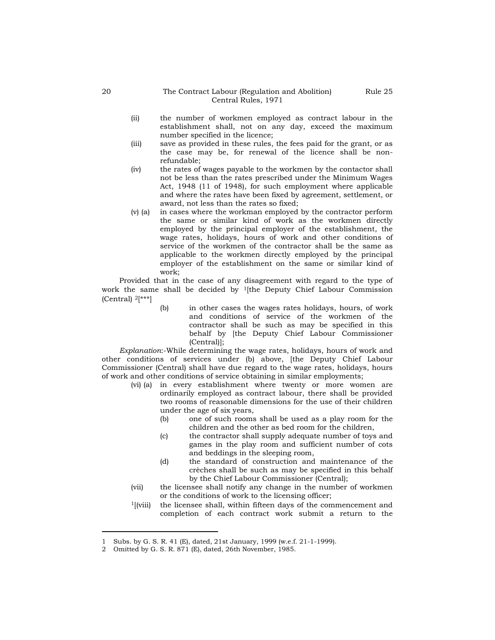- (ii) the number of workmen employed as contract labour in the establishment shall, not on any day, exceed the maximum number specified in the licence;
- (iii) save as provided in these rules, the fees paid for the grant, or as the case may be, for renewal of the licence shall be nonrefundable;
- (iv) the rates of wages payable to the workmen by the contactor shall not be less than the rates prescribed under the Minimum Wages Act, 1948 (11 of 1948), for such employment where applicable and where the rates have been fixed by agreement, settlement, or award, not less than the rates so fixed;
- (v) (a) in cases where the workman employed by the contractor perform the same or similar kind of work as the workmen directly employed by the principal employer of the establishment, the wage rates, holidays, hours of work and other conditions of service of the workmen of the contractor shall be the same as applicable to the workmen directly employed by the principal employer of the establishment on the same or similar kind of work;

Provided that in the case of any disagreement with regard to the type of work the same shall be decided by  $\frac{1}{\text{th}}$  Deputy Chief Labour Commission (Central)  $2[***]$ 

> (b) in other cases the wages rates holidays, hours, of work and conditions of service of the workmen of the contractor shall be such as may be specified in this behalf by [the Deputy Chief Labour Commissioner (Central)];

*Explanation*:-While determining the wage rates, holidays, hours of work and other conditions of services under (b) above, [the Deputy Chief Labour Commissioner (Central) shall have due regard to the wage rates, holidays, hours of work and other conditions of service obtaining in similar employments;

- (vi) (a) in every establishment where twenty or more women are ordinarily employed as contract labour, there shall be provided two rooms of reasonable dimensions for the use of their children under the age of six years,
	- (b) one of such rooms shall be used as a play room for the children and the other as bed room for the children,
	- (c) the contractor shall supply adequate number of toys and games in the play room and sufficient number of cots and beddings in the sleeping room,
	- (d) the standard of construction and maintenance of the crèches shall be such as may be specified in this behalf by the Chief Labour Commissioner (Central);
- (vii) the licensee shall notify any change in the number of workmen or the conditions of work to the licensing officer;
- $1$ [(viii) the licensee shall, within fifteen days of the commencement and completion of each contract work submit a return to the

<sup>1</sup> Subs. by G. S. R. 41 (E), dated, 21st January, 1999 (w.e.f. 21-1-1999).

<sup>2</sup> Omitted by G. S. R. 871 (E), dated, 26th November, 1985.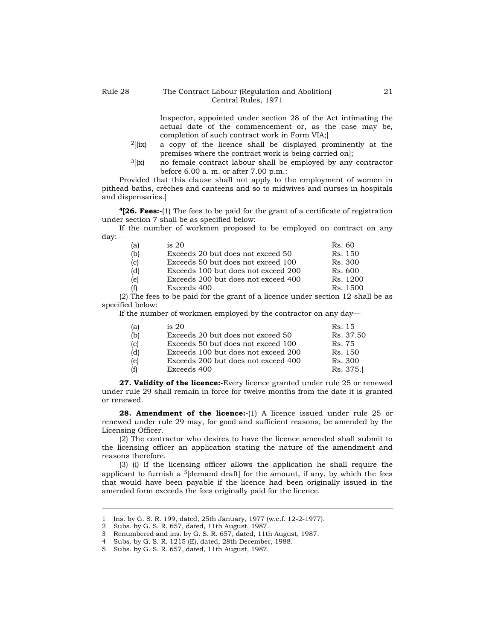### Rule 28 The Contract Labour (Regulation and Abolition) Central Rules, 1971

Inspector, appointed under section 28 of the Act intimating the actual date of the commencement or, as the case may be, completion of such contract work in Form VIA;]

- <sup>2</sup>[(ix) a copy of the licence shall be displayed prominently at the premises where the contract work is being carried on];
- $3(x)$  no female contract labour shall be employed by any contractor before 6.00 a. m. or after 7.00 p.m.:

Provided that this clause shall not apply to the employment of women in pithead baths, crèches and canteens and so to midwives and nurses in hospitals and dispensaries.]

**<sup>4</sup>[26. Fees:-**(1) The fees to be paid for the grant of a certificate of registration under section 7 shall be as specified below:—

If the number of workmen proposed to be employed on contract on any day:—

| (a) | is 20                               | Rs. 60   |
|-----|-------------------------------------|----------|
| (b) | Exceeds 20 but does not exceed 50   | Rs. 150  |
| (c) | Exceeds 50 but does not exceed 100  | Rs. 300  |
| (d) | Exceeds 100 but does not exceed 200 | Rs. 600  |
| (e) | Exceeds 200 but does not exceed 400 | Rs. 1200 |
| (f) | Exceeds 400                         | Rs. 1500 |
|     |                                     |          |

(2) The fees to be paid for the grant of a licence under section 12 shall be as specified below:

If the number of workmen employed by the contractor on any day—

| is 20                               | Rs. 15    |
|-------------------------------------|-----------|
| Exceeds 20 but does not exceed 50   | Rs. 37.50 |
| Exceeds 50 but does not exceed 100  | Rs. 75    |
| Exceeds 100 but does not exceed 200 | Rs. 150   |
| Exceeds 200 but does not exceed 400 | Rs. 300   |
| Exceeds 400                         | Rs. 375.  |
|                                     |           |

**27. Validity of the licence:-**Every licence granted under rule 25 or renewed under rule 29 shall remain in force for twelve months from the date it is granted or renewed.

28. Amendment of the licence:-(1) A licence issued under rule 25 or renewed under rule 29 may, for good and sufficient reasons, be amended by the Licensing Officer.

(2) The contractor who desires to have the licence amended shall submit to the licensing officer an application stating the nature of the amendment and reasons therefore.

(3) (i) If the licensing officer allows the application he shall require the applicant to furnish a  $5$ [demand draft] for the amount, if any, by which the fees that would have been payable if the licence had been originally issued in the amended form exceeds the fees originally paid for the licence.

<sup>1</sup> Ins. by G. S. R. 199, dated, 25th January, 1977 (w.e.f. 12-2-1977).

<sup>2</sup> Subs. by G. S. R. 657, dated, 11th August, 1987.

<sup>3</sup> Renumbered and ins. by G. S. R. 657, dated, 11th August, 1987.

<sup>4</sup> Subs. by G. S. R. 1215 (E), dated, 28th December, 1988.

<sup>5</sup> Subs. by G. S. R. 657, dated, 11th August, 1987.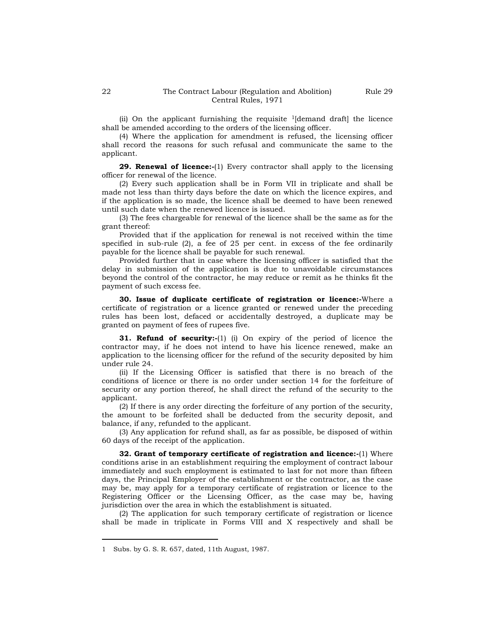(ii) On the applicant furnishing the requisite  $\frac{1}{\text{d}}$  demand draft the licence shall be amended according to the orders of the licensing officer.

(4) Where the application for amendment is refused, the licensing officer shall record the reasons for such refusal and communicate the same to the applicant.

**29. Renewal of licence:-**(1) Every contractor shall apply to the licensing officer for renewal of the licence.

(2) Every such application shall be in Form VII in triplicate and shall be made not less than thirty days before the date on which the licence expires, and if the application is so made, the licence shall be deemed to have been renewed until such date when the renewed licence is issued.

(3) The fees chargeable for renewal of the licence shall be the same as for the grant thereof:

Provided that if the application for renewal is not received within the time specified in sub-rule (2), a fee of 25 per cent. in excess of the fee ordinarily payable for the licence shall be payable for such renewal.

Provided further that in case where the licensing officer is satisfied that the delay in submission of the application is due to unavoidable circumstances beyond the control of the contractor, he may reduce or remit as he thinks fit the payment of such excess fee.

**30. Issue of duplicate certificate of registration or licence:-**Where a certificate of registration or a licence granted or renewed under the preceding rules has been lost, defaced or accidentally destroyed, a duplicate may be granted on payment of fees of rupees five.

**31. Refund of security:-**(1) (i) On expiry of the period of licence the contractor may, if he does not intend to have his licence renewed, make an application to the licensing officer for the refund of the security deposited by him under rule 24.

(ii) If the Licensing Officer is satisfied that there is no breach of the conditions of licence or there is no order under section 14 for the forfeiture of security or any portion thereof, he shall direct the refund of the security to the applicant.

(2) If there is any order directing the forfeiture of any portion of the security, the amount to be forfeited shall be deducted from the security deposit, and balance, if any, refunded to the applicant.

(3) Any application for refund shall, as far as possible, be disposed of within 60 days of the receipt of the application.

**32. Grant of temporary certificate of registration and licence:-**(1) Where conditions arise in an establishment requiring the employment of contract labour immediately and such employment is estimated to last for not more than fifteen days, the Principal Employer of the establishment or the contractor, as the case may be, may apply for a temporary certificate of registration or licence to the Registering Officer or the Licensing Officer, as the case may be, having jurisdiction over the area in which the establishment is situated.

(2) The application for such temporary certificate of registration or licence shall be made in triplicate in Forms VIII and X respectively and shall be

<sup>1</sup> Subs. by G. S. R. 657, dated, 11th August, 1987.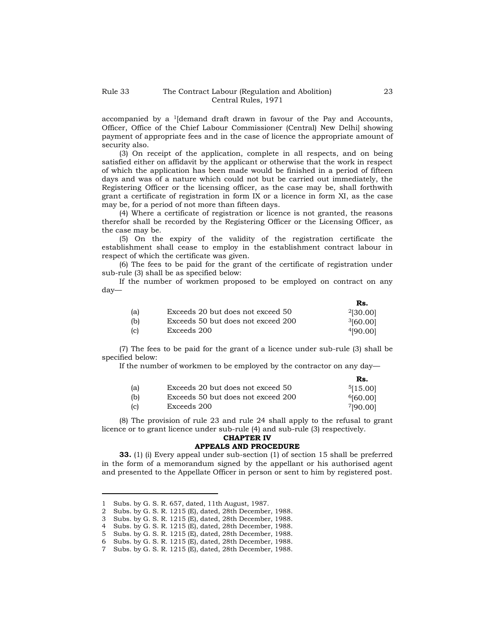accompanied by a  $\frac{1}{\text{demand}}$  draft drawn in favour of the Pay and Accounts, Officer, Office of the Chief Labour Commissioner (Central) New Delhi] showing payment of appropriate fees and in the case of licence the appropriate amount of security also.

(3) On receipt of the application, complete in all respects, and on being satisfied either on affidavit by the applicant or otherwise that the work in respect of which the application has been made would be finished in a period of fifteen days and was of a nature which could not but be carried out immediately, the Registering Officer or the licensing officer, as the case may be, shall forthwith grant a certificate of registration in form IX or a licence in form XI, as the case may be, for a period of not more than fifteen days.

(4) Where a certificate of registration or licence is not granted, the reasons therefor shall be recorded by the Registering Officer or the Licensing Officer, as the case may be.

(5) On the expiry of the validity of the registration certificate the establishment shall cease to employ in the establishment contract labour in respect of which the certificate was given.

(6) The fees to be paid for the grant of the certificate of registration under sub-rule (3) shall be as specified below:

If the number of workmen proposed to be employed on contract on any day—

|     |                                    | Rs.           |
|-----|------------------------------------|---------------|
| (a) | Exceeds 20 but does not exceed 50  | $^{2}[30.00]$ |
| (b) | Exceeds 50 but does not exceed 200 | 3[60.00]      |
| (c) | Exceeds 200                        | 4[90.00]      |

(7) The fees to be paid for the grant of a licence under sub-rule (3) shall be specified below:

If the number of workmen to be employed by the contractor on any day—

|     |                                    | Rs.      |
|-----|------------------------------------|----------|
| (a) | Exceeds 20 but does not exceed 50  | 5[15.00] |
| (b) | Exceeds 50 but does not exceed 200 | 6[60.00] |
| (c) | Exceeds 200                        | 7[90.00] |

(8) The provision of rule 23 and rule 24 shall apply to the refusal to grant licence or to grant licence under sub-rule (4) and sub-rule (3) respectively.

# **CHAPTER IV**

#### **APPEALS AND PROCEDURE**

**33.** (1) (i) Every appeal under sub-section (1) of section 15 shall be preferred in the form of a memorandum signed by the appellant or his authorised agent and presented to the Appellate Officer in person or sent to him by registered post.

<sup>1</sup> Subs. by G. S. R. 657, dated, 11th August, 1987.

<sup>2</sup> Subs. by G. S. R. 1215 (E), dated, 28th December, 1988.

<sup>3</sup> Subs. by G. S. R. 1215 (E), dated, 28th December, 1988.

<sup>4</sup> Subs. by G. S. R. 1215 (E), dated, 28th December, 1988.

<sup>5</sup> Subs. by G. S. R. 1215 (E), dated, 28th December, 1988.

<sup>6</sup> Subs. by G. S. R. 1215 (E), dated, 28th December, 1988.

<sup>7</sup> Subs. by G. S. R. 1215 (E), dated, 28th December, 1988.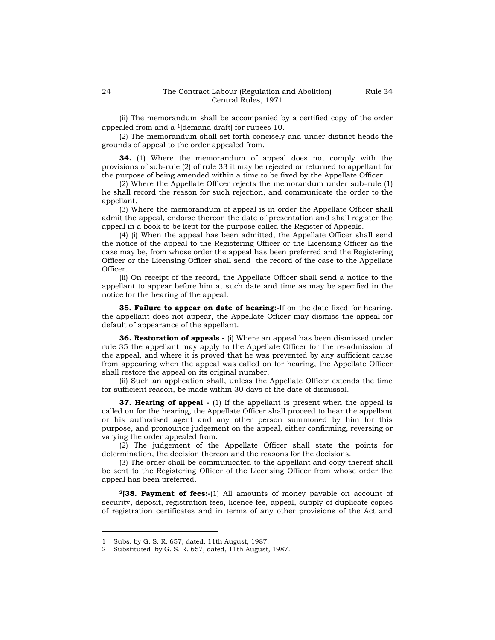(ii) The memorandum shall be accompanied by a certified copy of the order appealed from and a <sup>1</sup>[demand draft] for rupees 10.

(2) The memorandum shall set forth concisely and under distinct heads the grounds of appeal to the order appealed from.

**34.** (1) Where the memorandum of appeal does not comply with the provisions of sub-rule (2) of rule 33 it may be rejected or returned to appellant for the purpose of being amended within a time to be fixed by the Appellate Officer.

(2) Where the Appellate Officer rejects the memorandum under sub-rule (1) he shall record the reason for such rejection, and communicate the order to the appellant.

(3) Where the memorandum of appeal is in order the Appellate Officer shall admit the appeal, endorse thereon the date of presentation and shall register the appeal in a book to be kept for the purpose called the Register of Appeals.

(4) (i) When the appeal has been admitted, the Appellate Officer shall send the notice of the appeal to the Registering Officer or the Licensing Officer as the case may be, from whose order the appeal has been preferred and the Registering Officer or the Licensing Officer shall send the record of the case to the Appellate Officer.

(ii) On receipt of the record, the Appellate Officer shall send a notice to the appellant to appear before him at such date and time as may be specified in the notice for the hearing of the appeal.

**35. Failure to appear on date of hearing:-**If on the date fixed for hearing, the appellant does not appear, the Appellate Officer may dismiss the appeal for default of appearance of the appellant.

**36. Restoration of appeals -** (i) Where an appeal has been dismissed under rule 35 the appellant may apply to the Appellate Officer for the re-admission of the appeal, and where it is proved that he was prevented by any sufficient cause from appearing when the appeal was called on for hearing, the Appellate Officer shall restore the appeal on its original number.

(ii) Such an application shall, unless the Appellate Officer extends the time for sufficient reason, be made within 30 days of the date of dismissal.

**37. Hearing of appeal** - (1) If the appellant is present when the appeal is called on for the hearing, the Appellate Officer shall proceed to hear the appellant or his authorised agent and any other person summoned by him for this purpose, and pronounce judgement on the appeal, either confirming, reversing or varying the order appealed from.

(2) The judgement of the Appellate Officer shall state the points for determination, the decision thereon and the reasons for the decisions.

(3) The order shall be communicated to the appellant and copy thereof shall be sent to the Registering Officer of the Licensing Officer from whose order the appeal has been preferred.

**<sup>2</sup>[38. Payment of fees:-**(1) All amounts of money payable on account of security, deposit, registration fees, licence fee, appeal, supply of duplicate copies of registration certificates and in terms of any other provisions of the Act and

<sup>1</sup> Subs. by G. S. R. 657, dated, 11th August, 1987.

<sup>2</sup> Substituted by G. S. R. 657, dated, 11th August, 1987.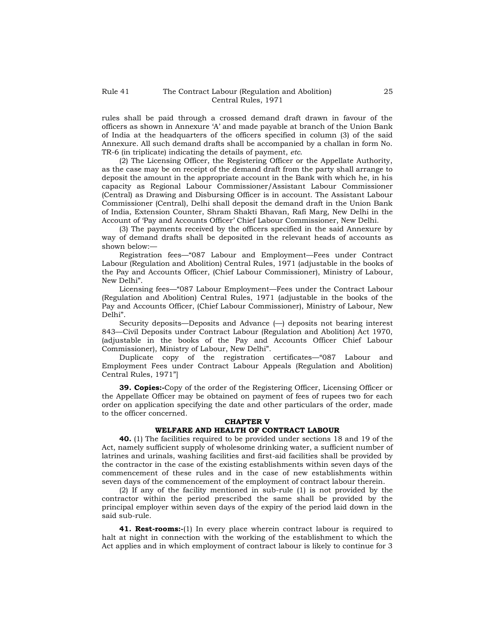rules shall be paid through a crossed demand draft drawn in favour of the officers as shown in Annexure "A" and made payable at branch of the Union Bank of India at the headquarters of the officers specified in column (3) of the said Annexure. All such demand drafts shall be accompanied by a challan in form No. TR-6 (in triplicate) indicating the details of payment, *etc*.

(2) The Licensing Officer, the Registering Officer or the Appellate Authority, as the case may be on receipt of the demand draft from the party shall arrange to deposit the amount in the appropriate account in the Bank with which he, in his capacity as Regional Labour Commissioner/Assistant Labour Commissioner (Central) as Drawing and Disbursing Officer is in account. The Assistant Labour Commissioner (Central), Delhi shall deposit the demand draft in the Union Bank of India, Extension Counter, Shram Shakti Bhavan, Rafi Marg, New Delhi in the Account of "Pay and Accounts Officer" Chief Labour Commissioner, New Delhi.

(3) The payments received by the officers specified in the said Annexure by way of demand drafts shall be deposited in the relevant heads of accounts as shown below:—

Registration fees—"087 Labour and Employment—Fees under Contract Labour (Regulation and Abolition) Central Rules, 1971 (adjustable in the books of the Pay and Accounts Officer, (Chief Labour Commissioner), Ministry of Labour, New Delhi".

Licensing fees—"087 Labour Employment—Fees under the Contract Labour (Regulation and Abolition) Central Rules, 1971 (adjustable in the books of the Pay and Accounts Officer, (Chief Labour Commissioner), Ministry of Labour, New Delhi".

Security deposits—Deposits and Advance (—) deposits not bearing interest 843—Civil Deposits under Contract Labour (Regulation and Abolition) Act 1970, (adjustable in the books of the Pay and Accounts Officer Chief Labour Commissioner), Ministry of Labour, New Delhi".

Duplicate copy of the registration certificates—"087 Labour and Employment Fees under Contract Labour Appeals (Regulation and Abolition) Central Rules, 1971"]

**39. Copies:-**Copy of the order of the Registering Officer, Licensing Officer or the Appellate Officer may be obtained on payment of fees of rupees two for each order on application specifying the date and other particulars of the order, made to the officer concerned.

# **CHAPTER V**

# **WELFARE AND HEALTH OF CONTRACT LABOUR**

**40.** (1) The facilities required to be provided under sections 18 and 19 of the Act, namely sufficient supply of wholesome drinking water, a sufficient number of latrines and urinals, washing facilities and first-aid facilities shall be provided by the contractor in the case of the existing establishments within seven days of the commencement of these rules and in the case of new establishments within seven days of the commencement of the employment of contract labour therein.

(2) If any of the facility mentioned in sub-rule (1) is not provided by the contractor within the period prescribed the same shall be provided by the principal employer within seven days of the expiry of the period laid down in the said sub-rule.

**41. Rest-rooms:**-(1) In every place wherein contract labour is required to halt at night in connection with the working of the establishment to which the Act applies and in which employment of contract labour is likely to continue for 3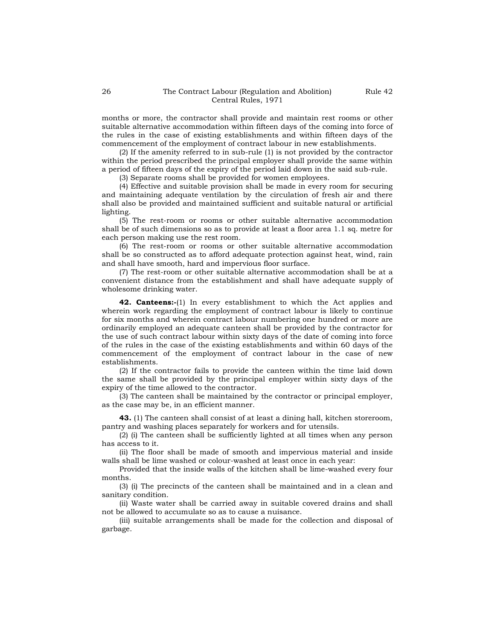months or more, the contractor shall provide and maintain rest rooms or other suitable alternative accommodation within fifteen days of the coming into force of the rules in the case of existing establishments and within fifteen days of the commencement of the employment of contract labour in new establishments.

(2) If the amenity referred to in sub-rule (1) is not provided by the contractor within the period prescribed the principal employer shall provide the same within a period of fifteen days of the expiry of the period laid down in the said sub-rule.

(3) Separate rooms shall be provided for women employees.

(4) Effective and suitable provision shall be made in every room for securing and maintaining adequate ventilation by the circulation of fresh air and there shall also be provided and maintained sufficient and suitable natural or artificial lighting.

(5) The rest-room or rooms or other suitable alternative accommodation shall be of such dimensions so as to provide at least a floor area 1.1 sq. metre for each person making use the rest room.

(6) The rest-room or rooms or other suitable alternative accommodation shall be so constructed as to afford adequate protection against heat, wind, rain and shall have smooth, hard and impervious floor surface.

(7) The rest-room or other suitable alternative accommodation shall be at a convenient distance from the establishment and shall have adequate supply of wholesome drinking water.

**42. Canteens:-**(1) In every establishment to which the Act applies and wherein work regarding the employment of contract labour is likely to continue for six months and wherein contract labour numbering one hundred or more are ordinarily employed an adequate canteen shall be provided by the contractor for the use of such contract labour within sixty days of the date of coming into force of the rules in the case of the existing establishments and within 60 days of the commencement of the employment of contract labour in the case of new establishments.

(2) If the contractor fails to provide the canteen within the time laid down the same shall be provided by the principal employer within sixty days of the expiry of the time allowed to the contractor.

(3) The canteen shall be maintained by the contractor or principal employer, as the case may be, in an efficient manner.

**43.** (1) The canteen shall consist of at least a dining hall, kitchen storeroom, pantry and washing places separately for workers and for utensils.

(2) (i) The canteen shall be sufficiently lighted at all times when any person has access to it.

(ii) The floor shall be made of smooth and impervious material and inside walls shall be lime washed or colour-washed at least once in each year:

Provided that the inside walls of the kitchen shall be lime-washed every four months.

(3) (i) The precincts of the canteen shall be maintained and in a clean and sanitary condition.

(ii) Waste water shall be carried away in suitable covered drains and shall not be allowed to accumulate so as to cause a nuisance.

(iii) suitable arrangements shall be made for the collection and disposal of garbage.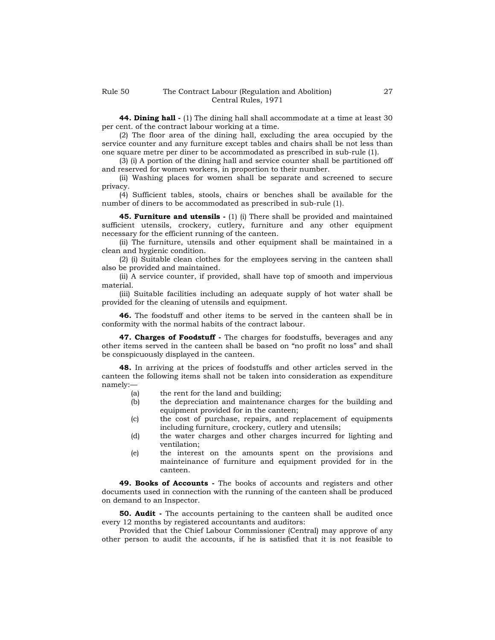**44. Dining hall -** (1) The dining hall shall accommodate at a time at least 30 per cent. of the contract labour working at a time.

(2) The floor area of the dining hall, excluding the area occupied by the service counter and any furniture except tables and chairs shall be not less than one square metre per diner to be accommodated as prescribed in sub-rule (1).

(3) (i) A portion of the dining hall and service counter shall be partitioned off and reserved for women workers, in proportion to their number.

(ii) Washing places for women shall be separate and screened to secure privacy.

(4) Sufficient tables, stools, chairs or benches shall be available for the number of diners to be accommodated as prescribed in sub-rule (1).

**45. Furniture and utensils -** (1) (i) There shall be provided and maintained sufficient utensils, crockery, cutlery, furniture and any other equipment necessary for the efficient running of the canteen.

(ii) The furniture, utensils and other equipment shall be maintained in a clean and hygienic condition.

(2) (i) Suitable clean clothes for the employees serving in the canteen shall also be provided and maintained.

(ii) A service counter, if provided, shall have top of smooth and impervious material.

(iii) Suitable facilities including an adequate supply of hot water shall be provided for the cleaning of utensils and equipment.

**46.** The foodstuff and other items to be served in the canteen shall be in conformity with the normal habits of the contract labour.

**47. Charges of Foodstuff -** The charges for foodstuffs, beverages and any other items served in the canteen shall be based on "no profit no loss" and shall be conspicuously displayed in the canteen.

**48.** In arriving at the prices of foodstuffs and other articles served in the canteen the following items shall not be taken into consideration as expenditure namely:—

- (a) the rent for the land and building;
- (b) the depreciation and maintenance charges for the building and equipment provided for in the canteen;
- (c) the cost of purchase, repairs, and replacement of equipments including furniture, crockery, cutlery and utensils;
- (d) the water charges and other charges incurred for lighting and ventilation;
- (e) the interest on the amounts spent on the provisions and mainteinance of furniture and equipment provided for in the canteen.

**49. Books of Accounts -** The books of accounts and registers and other documents used in connection with the running of the canteen shall be produced on demand to an Inspector.

**50. Audit -** The accounts pertaining to the canteen shall be audited once every 12 months by registered accountants and auditors:

Provided that the Chief Labour Commissioner (Central) may approve of any other person to audit the accounts, if he is satisfied that it is not feasible to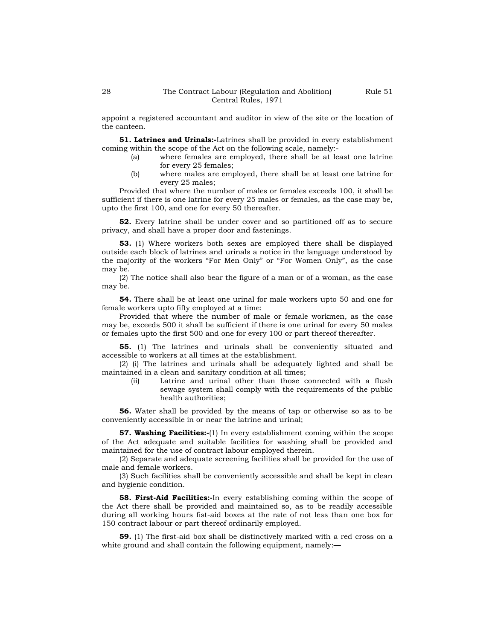appoint a registered accountant and auditor in view of the site or the location of the canteen.

**51. Latrines and Urinals:-**Latrines shall be provided in every establishment coming within the scope of the Act on the following scale, namely:-

- (a) where females are employed, there shall be at least one latrine for every 25 females;
- (b) where males are employed, there shall be at least one latrine for every 25 males;

Provided that where the number of males or females exceeds 100, it shall be sufficient if there is one latrine for every 25 males or females, as the case may be, upto the first 100, and one for every 50 thereafter.

**52.** Every latrine shall be under cover and so partitioned off as to secure privacy, and shall have a proper door and fastenings.

**53.** (1) Where workers both sexes are employed there shall be displayed outside each block of latrines and urinals a notice in the language understood by the majority of the workers "For Men Only" or "For Women Only", as the case may be.

(2) The notice shall also bear the figure of a man or of a woman, as the case may be.

**54.** There shall be at least one urinal for male workers upto 50 and one for female workers upto fifty employed at a time:

Provided that where the number of male or female workmen, as the case may be, exceeds 500 it shall be sufficient if there is one urinal for every 50 males or females upto the first 500 and one for every 100 or part thereof thereafter.

**55.** (1) The latrines and urinals shall be conveniently situated and accessible to workers at all times at the establishment.

(2) (i) The latrines and urinals shall be adequately lighted and shall be maintained in a clean and sanitary condition at all times;

> (ii) Latrine and urinal other than those connected with a flush sewage system shall comply with the requirements of the public health authorities;

**56.** Water shall be provided by the means of tap or otherwise so as to be conveniently accessible in or near the latrine and urinal;

**57. Washing Facilities:-**(1) In every establishment coming within the scope of the Act adequate and suitable facilities for washing shall be provided and maintained for the use of contract labour employed therein.

(2) Separate and adequate screening facilities shall be provided for the use of male and female workers.

(3) Such facilities shall be conveniently accessible and shall be kept in clean and hygienic condition.

**58. First-Aid Facilities:-**In every establishing coming within the scope of the Act there shall be provided and maintained so, as to be readily accessible during all working hours fist-aid boxes at the rate of not less than one box for 150 contract labour or part thereof ordinarily employed.

**59.** (1) The first-aid box shall be distinctively marked with a red cross on a white ground and shall contain the following equipment, namely:—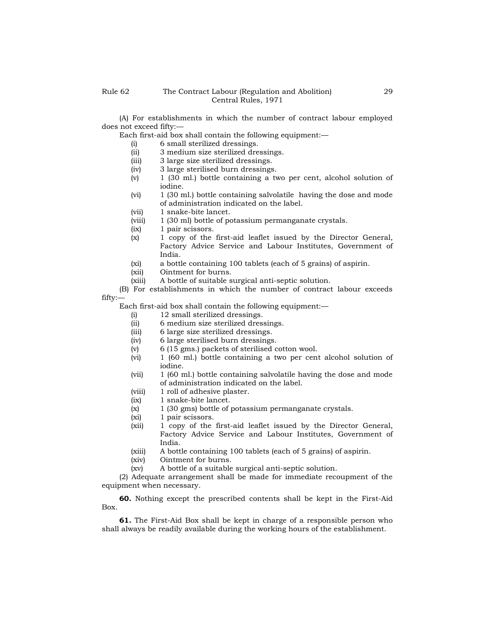(A) For establishments in which the number of contract labour employed does not exceed fifty:—

Each first-aid box shall contain the following equipment:—

- (i) 6 small sterilized dressings.
- (ii) 3 medium size sterilized dressings.
- (iii) 3 large size sterilized dressings.
- (iv) 3 large sterilised burn dressings.
- (v) 1 (30 ml.) bottle containing a two per cent, alcohol solution of iodine.
- (vi) 1 (30 ml.) bottle containing salvolatile having the dose and mode of administration indicated on the label.
- (vii) 1 snake-bite lancet.
- (viii) 1 (30 ml) bottle of potassium permanganate crystals.
- (ix) 1 pair scissors.
- (x) 1 copy of the first-aid leaflet issued by the Director General, Factory Advice Service and Labour Institutes, Government of India.
- (xi) a bottle containing 100 tablets (each of 5 grains) of aspirin.
- (xii) Ointment for burns.
- (xiii) A bottle of suitable surgical anti-septic solution.

(B) For establishments in which the number of contract labour exceeds fifty:—

Each first-aid box shall contain the following equipment:—

- (i) 12 small sterilized dressings.
- (ii) 6 medium size sterilized dressings.
- (iii) 6 large size sterilized dressings.
- (iv) 6 large sterilised burn dressings.
- (v) 6 (15 gms.) packets of sterilised cotton wool.
- (vi) 1 (60 ml.) bottle containing a two per cent alcohol solution of iodine.
- (vii) 1 (60 ml.) bottle containing salvolatile having the dose and mode of administration indicated on the label.
- (viii) 1 roll of adhesive plaster.
- (ix) 1 snake-bite lancet.
- (x) 1 (30 gms) bottle of potassium permanganate crystals.
- (xi) 1 pair scissors.
- (xii) 1 copy of the first-aid leaflet issued by the Director General, Factory Advice Service and Labour Institutes, Government of India.
- (xiii) A bottle containing 100 tablets (each of 5 grains) of aspirin.
- (xiv) Ointment for burns.
- (xv) A bottle of a suitable surgical anti-septic solution.

(2) Adequate arrangement shall be made for immediate recoupment of the equipment when necessary.

**60.** Nothing except the prescribed contents shall be kept in the First-Aid Box.

**61.** The First-Aid Box shall be kept in charge of a responsible person who shall always be readily available during the working hours of the establishment.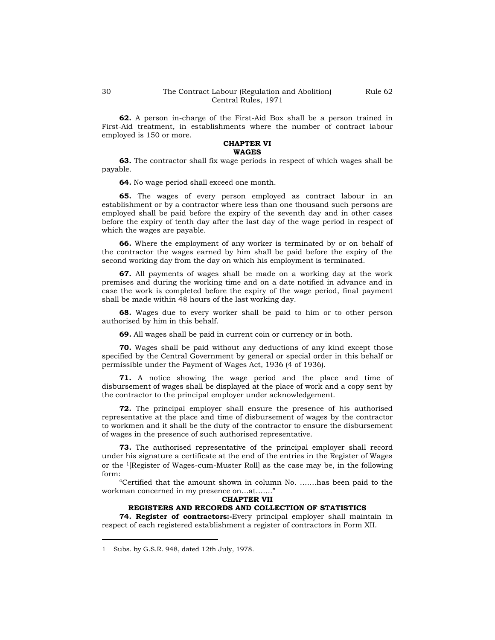Rule 62

**62.** A person in-charge of the First-Aid Box shall be a person trained in First-Aid treatment, in establishments where the number of contract labour employed is 150 or more.

#### **CHAPTER VI WAGES**

**63.** The contractor shall fix wage periods in respect of which wages shall be payable.

**64.** No wage period shall exceed one month.

**65.** The wages of every person employed as contract labour in an establishment or by a contractor where less than one thousand such persons are employed shall be paid before the expiry of the seventh day and in other cases before the expiry of tenth day after the last day of the wage period in respect of which the wages are payable.

**66.** Where the employment of any worker is terminated by or on behalf of the contractor the wages earned by him shall be paid before the expiry of the second working day from the day on which his employment is terminated.

**67.** All payments of wages shall be made on a working day at the work premises and during the working time and on a date notified in advance and in case the work is completed before the expiry of the wage period, final payment shall be made within 48 hours of the last working day.

**68.** Wages due to every worker shall be paid to him or to other person authorised by him in this behalf.

**69.** All wages shall be paid in current coin or currency or in both.

**70.** Wages shall be paid without any deductions of any kind except those specified by the Central Government by general or special order in this behalf or permissible under the Payment of Wages Act, 1936 (4 of 1936).

**71.** A notice showing the wage period and the place and time of disbursement of wages shall be displayed at the place of work and a copy sent by the contractor to the principal employer under acknowledgement.

**72.** The principal employer shall ensure the presence of his authorised representative at the place and time of disbursement of wages by the contractor to workmen and it shall be the duty of the contractor to ensure the disbursement of wages in the presence of such authorised representative.

**73.** The authorised representative of the principal employer shall record under his signature a certificate at the end of the entries in the Register of Wages or the 1[Register of Wages-cum-Muster Roll] as the case may be, in the following form:

"Certified that the amount shown in column No. …….has been paid to the workman concerned in my presence on…at……."

#### **CHAPTER VII**

#### **REGISTERS AND RECORDS AND COLLECTION OF STATISTICS**

**74. Register of contractors:-**Every principal employer shall maintain in respect of each registered establishment a register of contractors in Form XII.

<sup>1</sup> Subs. by G.S.R. 948, dated 12th July, 1978.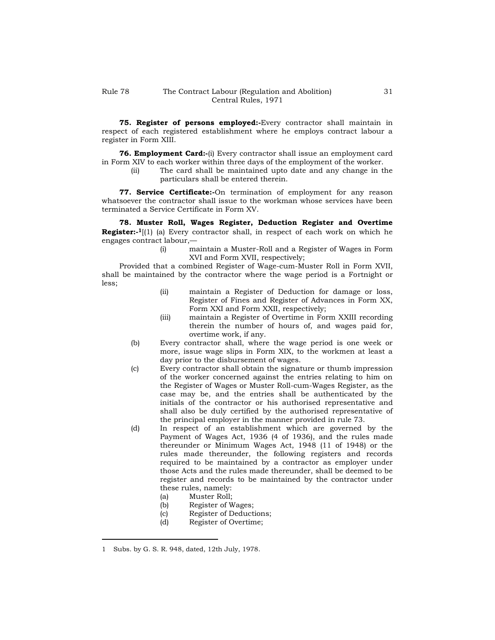**75. Register of persons employed:-**Every contractor shall maintain in respect of each registered establishment where he employs contract labour a register in Form XIII.

**76. Employment Card:-**(i) Every contractor shall issue an employment card in Form XIV to each worker within three days of the employment of the worker.

> (ii) The card shall be maintained upto date and any change in the particulars shall be entered therein.

**77. Service Certificate:-**On termination of employment for any reason whatsoever the contractor shall issue to the workman whose services have been terminated a Service Certificate in Form XV.

**78. Muster Roll, Wages Register, Deduction Register and Overtime Register:- <sup>1</sup>**[(1) (a) Every contractor shall, in respect of each work on which he engages contract labour,—

(i) maintain a Muster-Roll and a Register of Wages in Form XVI and Form XVII, respectively;

Provided that a combined Register of Wage-cum-Muster Roll in Form XVII, shall be maintained by the contractor where the wage period is a Fortnight or less;

- (ii) maintain a Register of Deduction for damage or loss, Register of Fines and Register of Advances in Form XX, Form XXI and Form XXII, respectively;
- (iii) maintain a Register of Overtime in Form XXIII recording therein the number of hours of, and wages paid for, overtime work, if any.
- (b) Every contractor shall, where the wage period is one week or more, issue wage slips in Form XIX, to the workmen at least a day prior to the disbursement of wages.
- (c) Every contractor shall obtain the signature or thumb impression of the worker concerned against the entries relating to him on the Register of Wages or Muster Roll-cum-Wages Register, as the case may be, and the entries shall be authenticated by the initials of the contractor or his authorised representative and shall also be duly certified by the authorised representative of the principal employer in the manner provided in rule 73.
- (d) In respect of an establishment which are governed by the Payment of Wages Act, 1936 (4 of 1936), and the rules made thereunder or Minimum Wages Act, 1948 (11 of 1948) or the rules made thereunder, the following registers and records required to be maintained by a contractor as employer under those Acts and the rules made thereunder, shall be deemed to be register and records to be maintained by the contractor under these rules, namely:
	- (a) Muster Roll;
	- (b) Register of Wages;
	- (c) Register of Deductions;
	- (d) Register of Overtime;

<sup>1</sup> Subs. by G. S. R. 948, dated, 12th July, 1978.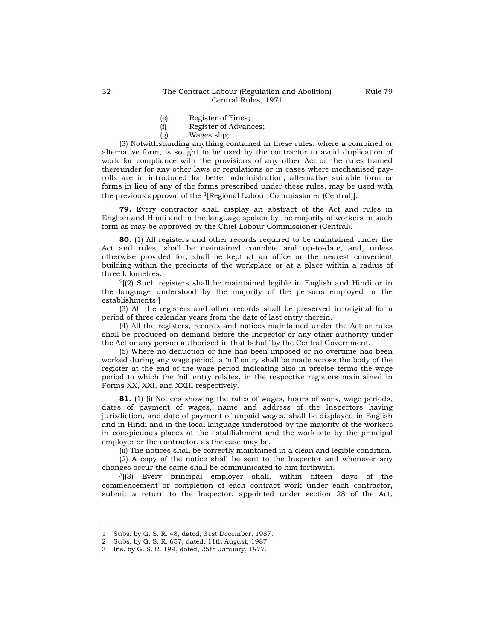- (e) Register of Fines;
- (f) Register of Advances;
- (g) Wages slip;

(3) Notwithstanding anything contained in these rules, where a combined or alternative form, is sought to be used by the contractor to avoid duplication of work for compliance with the provisions of any other Act or the rules framed thereunder for any other laws or regulations or in cases where mechanised payrolls are in introduced for better administration, alternative suitable form or forms in lieu of any of the forms prescribed under these rules, may be used with the previous approval of the 1[Regional Labour Commissioner (Central)].

**79.** Every contractor shall display an abstract of the Act and rules in English and Hindi and in the language spoken by the majority of workers in such form as may be approved by the Chief Labour Commissioner (Central).

**80.** (1) All registers and other records required to be maintained under the Act and rules, shall be maintained complete and up-to-date, and, unless otherwise provided for, shall be kept at an office or the nearest convenient building within the precincts of the workplace or at a place within a radius of three kilometres.

 $<sup>2</sup>$ [(2) Such registers shall be maintained legible in English and Hindi or in</sup> the language understood by the majority of the persons employed in the establishments.]

(3) All the registers and other records shall be preserved in original for a period of three calendar years from the date of last entry therein.

(4) All the registers, records and notices maintained under the Act or rules shall be produced on demand before the Inspector or any other authority under the Act or any person authorised in that behalf by the Central Government.

(5) Where no deduction or fine has been imposed or no overtime has been worked during any wage period, a 'nil' entry shall be made across the body of the register at the end of the wage period indicating also in precise terms the wage period to which the "nil" entry relates, in the respective registers maintained in Forms XX, XXI, and XXIII respectively.

**81.** (1) (i) Notices showing the rates of wages, hours of work, wage periods, dates of payment of wages, name and address of the Inspectors having jurisdiction, and date of payment of unpaid wages, shall be displayed in English and in Hindi and in the local language understood by the majority of the workers in conspicuous places at the establishment and the work-site by the principal employer or the contractor, as the case may be.

(ii) The notices shall be correctly maintained in a clean and legible condition.

(2) A copy of the notice shall be sent to the Inspector and whenever any changes occur the same shall be communicated to him forthwith.

<sup>3</sup>[(3) Every principal employer shall, within fifteen days of the commencement or completion of each contract work under each contractor, submit a return to the Inspector, appointed under section 28 of the Act,

<sup>1</sup> Subs. by G. S. R. 48, dated, 31st December, 1987.

<sup>2</sup> Subs. by G. S. R. 657, dated, 11th August, 1987.

<sup>3</sup> Ins. by G. S. R. 199, dated, 25th January, 1977.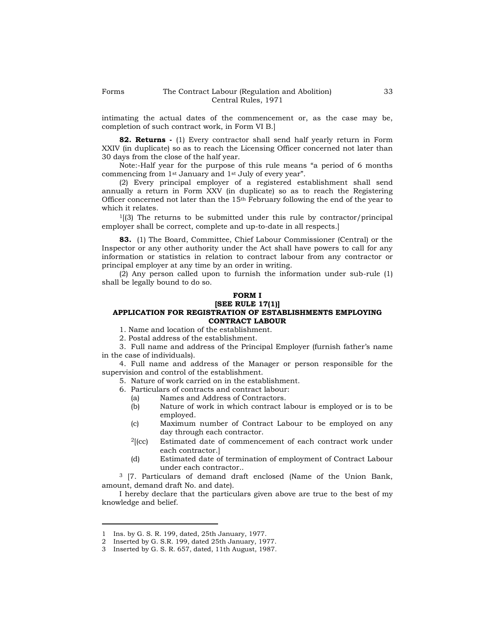intimating the actual dates of the commencement or, as the case may be, completion of such contract work, in Form VI B.]

**82. Returns -** (1) Every contractor shall send half yearly return in Form XXIV (in duplicate) so as to reach the Licensing Officer concerned not later than 30 days from the close of the half year.

Note:-Half year for the purpose of this rule means "a period of 6 months commencing from 1st January and 1st July of every year".

(2) Every principal employer of a registered establishment shall send annually a return in Form XXV (in duplicate) so as to reach the Registering Officer concerned not later than the 15th February following the end of the year to which it relates.

 $1(3)$  The returns to be submitted under this rule by contractor/principal employer shall be correct, complete and up-to-date in all respects.]

**83.** (1) The Board, Committee, Chief Labour Commissioner (Central) or the Inspector or any other authority under the Act shall have powers to call for any information or statistics in relation to contract labour from any contractor or principal employer at any time by an order in writing.

(2) Any person called upon to furnish the information under sub-rule (1) shall be legally bound to do so.

# **FORM I**

**[SEE RULE 17(1)]**

# **APPLICATION FOR REGISTRATION OF ESTABLISHMENTS EMPLOYING CONTRACT LABOUR**

1. Name and location of the establishment.

2. Postal address of the establishment.

3. Full name and address of the Principal Employer (furnish father"s name in the case of individuals).

4. Full name and address of the Manager or person responsible for the supervision and control of the establishment.

5. Nature of work carried on in the establishment.

6. Particulars of contracts and contract labour:

- (a) Names and Address of Contractors.
- (b) Nature of work in which contract labour is employed or is to be employed.
- (c) Maximum number of Contract Labour to be employed on any day through each contractor.
- <sup>2</sup>[(cc) Estimated date of commencement of each contract work under each contractor.]
- (d) Estimated date of termination of employment of Contract Labour under each contractor..

<sup>3</sup> [7. Particulars of demand draft enclosed (Name of the Union Bank, amount, demand draft No. and date).

I hereby declare that the particulars given above are true to the best of my knowledge and belief.

<sup>1</sup> Ins. by G. S. R. 199, dated, 25th January, 1977.

<sup>2</sup> Inserted by G. S.R. 199, dated 25th January, 1977.

<sup>3</sup> Inserted by G. S. R. 657, dated, 11th August, 1987.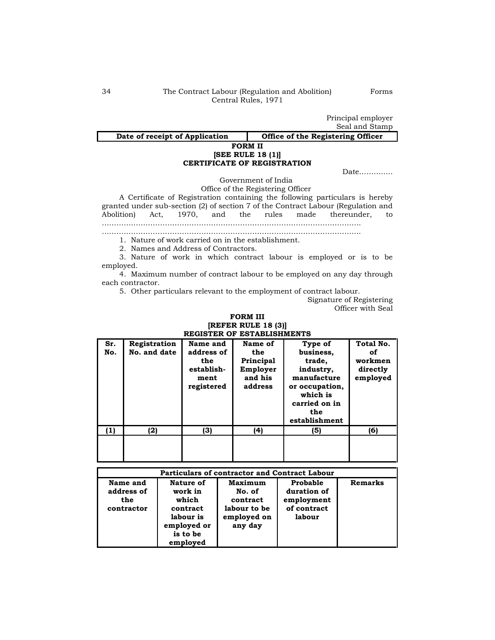Principal employer Seal and Stamp

# Date of receipt of Application **Conservative Conservation Office registering Officer**

## **FORM II [SEE RULE 18 (1)] CERTIFICATE OF REGISTRATION**

Date…………..

Government of India

Office of the Registering Officer

A Certificate of Registration containing the following particulars is hereby granted under sub-section (2) of section 7 of the Contract Labour (Regulation and Abolition) Act, 1970, and the rules made thereunder, to …………………………………………………………………………………………….. ……………………………………………………………………………………………..

1. Nature of work carried on in the establishment.

2. Names and Address of Contractors.

3. Nature of work in which contract labour is employed or is to be employed.

4. Maximum number of contract labour to be employed on any day through each contractor.

5. Other particulars relevant to the employment of contract labour.

Signature of Registering Officer with Seal

#### **FORM III [REFER RULE 18 (3)] REGISTER OF ESTABLISHMENTS**

| register of establishments |                              |                                                                   |                                                               |                                                                                                                                   |                                                    |
|----------------------------|------------------------------|-------------------------------------------------------------------|---------------------------------------------------------------|-----------------------------------------------------------------------------------------------------------------------------------|----------------------------------------------------|
| Sr.<br>No.                 | Registration<br>No. and date | Name and<br>address of<br>the<br>establish-<br>ment<br>registered | Name of<br>the<br>Principal<br>Employer<br>and his<br>address | Type of<br>business,<br>trade,<br>industry,<br>manufacture<br>or occupation,<br>which is<br>carried on in<br>the<br>establishment | Total No.<br>оf<br>workmen<br>directly<br>employed |
| (1)                        | (2)                          | (3)                                                               | (4)                                                           | (5)                                                                                                                               | (6)                                                |
|                            |                              |                                                                   |                                                               |                                                                                                                                   |                                                    |

| <b>Particulars of contractor and Contract Labour</b> |             |              |             |         |
|------------------------------------------------------|-------------|--------------|-------------|---------|
| Name and                                             | Nature of   | Maximum      | Probable    | Remarks |
| address of                                           | work in     | No. of       | duration of |         |
| the                                                  | which       | contract     | employment  |         |
| contractor                                           | contract    | labour to be | of contract |         |
|                                                      | labour is   | employed on  | labour      |         |
|                                                      | employed or | any day      |             |         |
|                                                      | is to be    |              |             |         |
|                                                      | employed    |              |             |         |

Forms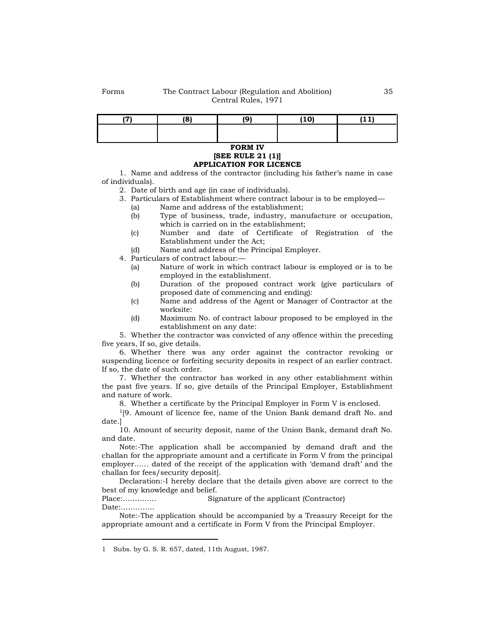|  | (10) | . |
|--|------|---|
|  |      |   |
|  |      |   |

#### **FORM IV [SEE RULE 21 (1)] APPLICATION FOR LICENCE**

1. Name and address of the contractor (including his father"s name in case of individuals).

- 2. Date of birth and age (in case of individuals).
- 3. Particulars of Establishment where contract labour is to be employed—
	- (a) Name and address of the establishment;
	- (b) Type of business, trade, industry, manufacture or occupation, which is carried on in the establishment;
	- (c) Number and date of Certificate of Registration of the Establishment under the Act;
	- (d) Name and address of the Principal Employer.

4. Particulars of contract labour:—

- (a) Nature of work in which contract labour is employed or is to be employed in the establishment.
- (b) Duration of the proposed contract work (give particulars of proposed date of commencing and ending):
- (c) Name and address of the Agent or Manager of Contractor at the worksite:
- (d) Maximum No. of contract labour proposed to be employed in the establishment on any date:

5. Whether the contractor was convicted of any offence within the preceding five years, If so, give details.

6. Whether there was any order against the contractor revoking or suspending licence or forfeiting security deposits in respect of an earlier contract. If so, the date of such order.

7. Whether the contractor has worked in any other establishment within the past five years. If so, give details of the Principal Employer, Establishment and nature of work.

8. Whether a certificate by the Principal Employer in Form V is enclosed.

<sup>1</sup>[9. Amount of licence fee, name of the Union Bank demand draft No. and date.]

10. Amount of security deposit, name of the Union Bank, demand draft No. and date.

Note:-The application shall be accompanied by demand draft and the challan for the appropriate amount and a certificate in Form V from the principal employer…… dated of the receipt of the application with "demand draft" and the challan for fees/security deposit].

Declaration:-I hereby declare that the details given above are correct to the best of my knowledge and belief.

Place:………….. Signature of the applicant (Contractor) Date:…………..

Note:-The application should be accompanied by a Treasury Receipt for the appropriate amount and a certificate in Form V from the Principal Employer.

<sup>1</sup> Subs. by G. S. R. 657, dated, 11th August, 1987.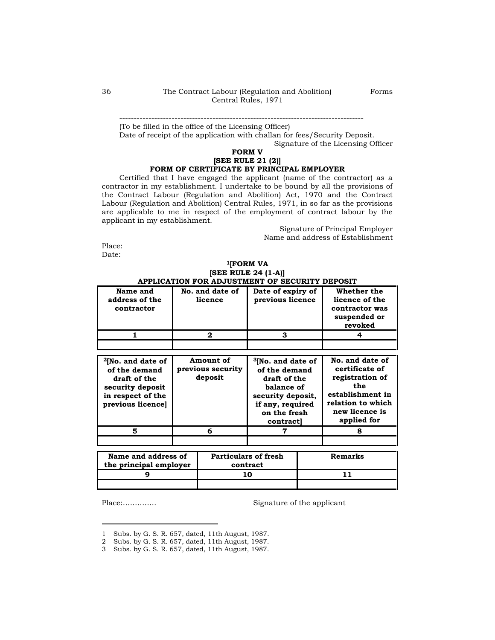------------------------------------------------------------------------------------

(To be filled in the office of the Licensing Officer)

Date of receipt of the application with challan for fees/Security Deposit.

Signature of the Licensing Officer

## **FORM V [SEE RULE 21 (2)] FORM OF CERTIFICATE BY PRINCIPAL EMPLOYER**

Certified that I have engaged the applicant (name of the contractor) as a contractor in my establishment. I undertake to be bound by all the provisions of the Contract Labour (Regulation and Abolition) Act, 1970 and the Contract Labour (Regulation and Abolition) Central Rules, 1971, in so far as the provisions are applicable to me in respect of the employment of contract labour by the applicant in my establishment.

> Signature of Principal Employer Name and address of Establishment

Place:

Date:

#### **<sup>1</sup>[FORM VA [SEE RULE 24 (1-A)] APPLICATION FOR ADJUSTMENT OF SECURITY DEPOSIT**

| Name and<br>address of the<br>contractor | No. and date of<br>licence | Date of expiry of<br>previous licence | Whether the<br>licence of the<br>contractor was<br>suspended or<br>revoked |  |
|------------------------------------------|----------------------------|---------------------------------------|----------------------------------------------------------------------------|--|
|                                          |                            |                                       |                                                                            |  |
|                                          |                            |                                       |                                                                            |  |

| $2$ [No. and date of<br>of the demand<br>draft of the<br>security deposit<br>in respect of the<br>previous licence] | Amount of<br>previous security<br>deposit | <sup>3</sup> [No. and date of<br>of the demand<br>draft of the<br>balance of<br>security deposit,<br>if any, required<br>on the fresh<br>contract | No. and date of<br>certificate of<br>registration of<br>the<br>establishment in<br>relation to which<br>new licence is<br>applied for |
|---------------------------------------------------------------------------------------------------------------------|-------------------------------------------|---------------------------------------------------------------------------------------------------------------------------------------------------|---------------------------------------------------------------------------------------------------------------------------------------|
|                                                                                                                     | 6                                         |                                                                                                                                                   |                                                                                                                                       |
|                                                                                                                     |                                           |                                                                                                                                                   |                                                                                                                                       |

| Name and address of<br>the principal employer | <b>Particulars of fresh</b><br>contract | <b>Remarks</b> |
|-----------------------------------------------|-----------------------------------------|----------------|
|                                               |                                         |                |
|                                               |                                         |                |

Place:………….. Signature of the applicant

<sup>1</sup> Subs. by G. S. R. 657, dated, 11th August, 1987.

<sup>2</sup> Subs. by G. S. R. 657, dated, 11th August, 1987.

<sup>3</sup> Subs. by G. S. R. 657, dated, 11th August, 1987.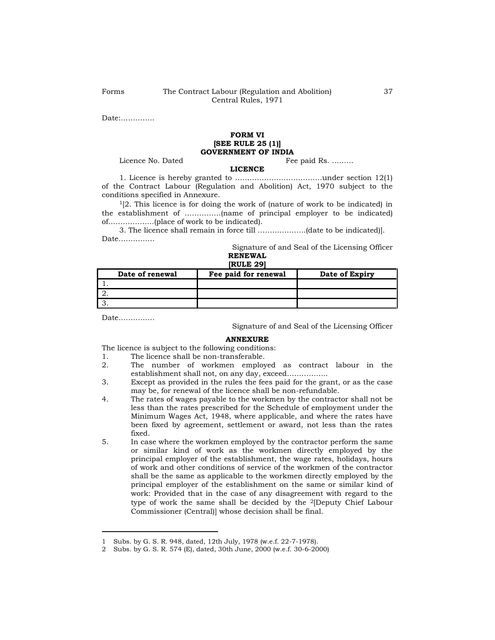Date:…………..

#### **FORM VI [SEE RULE 25 (1)] GOVERNMENT OF INDIA**

Licence No. Dated Fee paid Rs. ………

#### **LICENCE**

1. Licence is hereby granted to ………………………………under section 12(1) of the Contract Labour (Regulation and Abolition) Act, 1970 subject to the conditions specified in Annexure.

 $1[2.$  This licence is for doing the work of (nature of work to be indicated) in the establishment of ……………(name of principal employer to be indicated) of……………….(place of work to be indicated).

3. The licence shall remain in force till ………………..(date to be indicated)]. Date……………

> Signature of and Seal of the Licensing Officer **RENEWAL**

| [RULE 29] |  |
|-----------|--|
|           |  |

| Date of renewal | Fee paid for renewal | Date of Expiry |
|-----------------|----------------------|----------------|
|                 |                      |                |
|                 |                      |                |
|                 |                      |                |

Date……………

Signature of and Seal of the Licensing Officer

#### **ANNEXURE**

The licence is subject to the following conditions:

- 1. The licence shall be non-transferable.
- 2. The number of workmen employed as contract labour in the establishment shall not, on any day, exceed……………..
- 3. Except as provided in the rules the fees paid for the grant, or as the case may be, for renewal of the licence shall be non-refundable.
- 4. The rates of wages payable to the workmen by the contractor shall not be less than the rates prescribed for the Schedule of employment under the Minimum Wages Act, 1948, where applicable, and where the rates have been fixed by agreement, settlement or award, not less than the rates fixed.
- 5. In case where the workmen employed by the contractor perform the same or similar kind of work as the workmen directly employed by the principal employer of the establishment, the wage rates, holidays, hours of work and other conditions of service of the workmen of the contractor shall be the same as applicable to the workmen directly employed by the principal employer of the establishment on the same or similar kind of work: Provided that in the case of any disagreement with regard to the type of work the same shall be decided by the 2[Deputy Chief Labour Commissioner (Central)] whose decision shall be final.

<sup>1</sup> Subs. by G. S. R. 948, dated, 12th July, 1978 (w.e.f. 22-7-1978).

<sup>2</sup> Subs. by G. S. R. 574 (E), dated, 30th June, 2000 (w.e.f. 30-6-2000)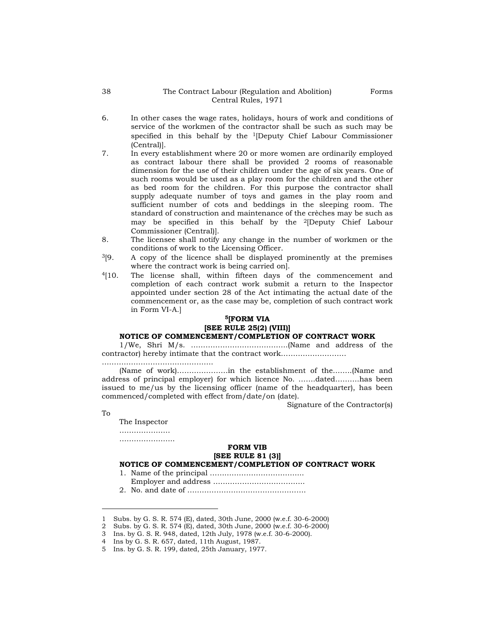- 6. In other cases the wage rates, holidays, hours of work and conditions of service of the workmen of the contractor shall be such as such may be specified in this behalf by the 1[Deputy Chief Labour Commissioner (Central)].
- 7. In every establishment where 20 or more women are ordinarily employed as contract labour there shall be provided 2 rooms of reasonable dimension for the use of their children under the age of six years. One of such rooms would be used as a play room for the children and the other as bed room for the children. For this purpose the contractor shall supply adequate number of toys and games in the play room and sufficient number of cots and beddings in the sleeping room. The standard of construction and maintenance of the crèches may be such as may be specified in this behalf by the 2[Deputy Chief Labour Commissioner (Central)].
- 8. The licensee shall notify any change in the number of workmen or the conditions of work to the Licensing Officer.
- $3[9. \quad$  A copy of the licence shall be displayed prominently at the premises where the contract work is being carried on].
- <sup>4</sup>[10. The license shall, within fifteen days of the commencement and completion of each contract work submit a return to the Inspector appointed under section 28 of the Act intimating the actual date of the commencement or, as the case may be, completion of such contract work in Form VI-A.]

## **<sup>5</sup>[FORM VIA [SEE RULE 25(2) (VIII)] NOTICE OF COMMENCEMENT/COMPLETION OF CONTRACT WORK**

1/We, Shri M/s. ………………………………….(Name and address of the contractor) hereby intimate that the contract work………………………

…………………………………………

(Name of work)…………………in the establishment of the……..(Name and address of principal employer) for which licence No. …….dated……….has been issued to me/us by the licensing officer (name of the headquarter), has been commenced/completed with effect from/date/on (date).

Signature of the Contractor(s)

To

The Inspector …………………

…………………………

# **FORM VIB**

# **[SEE RULE 81 (3)]**

# **NOTICE OF COMMENCEMENT/COMPLETION OF CONTRACT WORK**

- 1. Name of the principal ………………………………...
- Employer and address ………………………………..

2. No. and date of ………………………………………….

<sup>1</sup> Subs. by G. S. R. 574 (E), dated, 30th June, 2000 (w.e.f. 30-6-2000)

<sup>2</sup> Subs. by G. S. R. 574 (E), dated, 30th June, 2000 (w.e.f. 30-6-2000)

<sup>3</sup> Ins. by G. S. R. 948, dated, 12th July, 1978 (w.e.f. 30-6-2000).

<sup>4</sup> Ins by G. S. R. 657, dated, 11th August, 1987.

<sup>5</sup> Ins. by G. S. R. 199, dated, 25th January, 1977.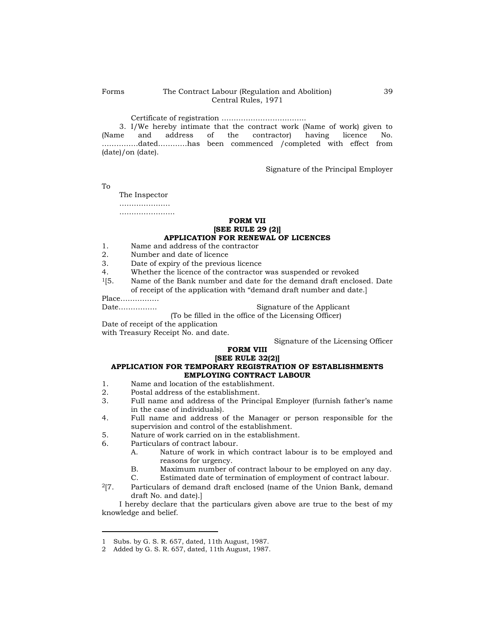Certificate of registration ……………………………..

3. I/We hereby intimate that the contract work (Name of work) given to (Name and address of the contractor) having licence No. address of the contractor) having licence No. ……………dated…………has been commenced /completed with effect from (date)/on (date).

Signature of the Principal Employer

To

The Inspector ……………………… …………………………

# **FORM VII [SEE RULE 29 (2)] APPLICATION FOR RENEWAL OF LICENCES**

- 1. Name and address of the contractor
- 2. Number and date of licence
- 3. Date of expiry of the previous licence
- 4. Whether the licence of the contractor was suspended or revoked
- $1[5.$  Name of the Bank number and date for the demand draft enclosed. Date of receipt of the application with "demand draft number and date.]

Place…………….

Date……………. Signature of the Applicant

(To be filled in the office of the Licensing Officer)

Date of receipt of the application with Treasury Receipt No. and date.

Signature of the Licensing Officer

# **FORM VIII**

### **[SEE RULE 32(2)] APPLICATION FOR TEMPORARY REGISTRATION OF ESTABLISHMENTS EMPLOYING CONTRACT LABOUR**

- 1. Name and location of the establishment.
- 2. Postal address of the establishment.
- 3. Full name and address of the Principal Employer (furnish father"s name in the case of individuals).
- 4. Full name and address of the Manager or person responsible for the supervision and control of the establishment.
- 5. Nature of work carried on in the establishment.
- 6. Particulars of contract labour.
	- A. Nature of work in which contract labour is to be employed and reasons for urgency.
	- B. Maximum number of contract labour to be employed on any day.
	- C. Estimated date of termination of employment of contract labour.
- <sup>2</sup>[7. Particulars of demand draft enclosed (name of the Union Bank, demand draft No. and date).]

I hereby declare that the particulars given above are true to the best of my knowledge and belief.

<sup>1</sup> Subs. by G. S. R. 657, dated, 11th August, 1987.

<sup>2</sup> Added by G. S. R. 657, dated, 11th August, 1987.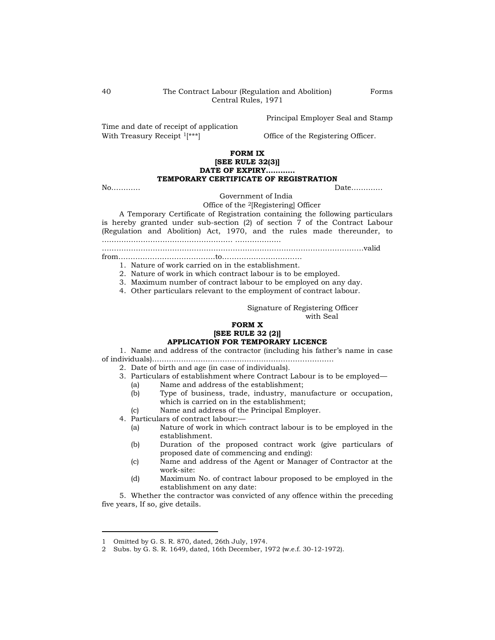Principal Employer Seal and Stamp

Time and date of receipt of application With Treasury Receipt <sup>1[\*\*\*</sup>] Office of the Registering Officer.

# **FORM IX [SEE RULE 32(3)] DATE OF EXPIRY………… TEMPORARY CERTIFICATE OF REGISTRATION**

No………… Date…………

Government of India

Office of the 2[Registering] Officer

A Temporary Certificate of Registration containing the following particulars is hereby granted under sub-section (2) of section 7 of the Contract Labour (Regulation and Abolition) Act, 1970, and the rules made thereunder, to ……………………………………………… ……………….

………………………………………………………………………………………………valid

from………………………………….to……………………………

1. Nature of work carried on in the establishment.

2. Nature of work in which contract labour is to be employed.

3. Maximum number of contract labour to be employed on any day.

4. Other particulars relevant to the employment of contract labour.

Signature of Registering Officer with Seal

# **FORM X**

# **[SEE RULE 32 (2)] APPLICATION FOR TEMPORARY LICENCE**

1. Name and address of the contractor (including his father"s name in case of individuals)…………………………………………………………………

2. Date of birth and age (in case of individuals).

- 3. Particulars of establishment where Contract Labour is to be employed—
	- (a) Name and address of the establishment;
	- (b) Type of business, trade, industry, manufacture or occupation, which is carried on in the establishment;
	- (c) Name and address of the Principal Employer.
- 4. Particulars of contract labour:—
	- (a) Nature of work in which contract labour is to be employed in the establishment.
	- (b) Duration of the proposed contract work (give particulars of proposed date of commencing and ending):
	- (c) Name and address of the Agent or Manager of Contractor at the work-site:
	- (d) Maximum No. of contract labour proposed to be employed in the establishment on any date:

5. Whether the contractor was convicted of any offence within the preceding five years, If so, give details.

Forms

<sup>1</sup> Omitted by G. S. R. 870, dated, 26th July, 1974.

<sup>2</sup> Subs. by G. S. R. 1649, dated, 16th December, 1972 (w.e.f. 30-12-1972).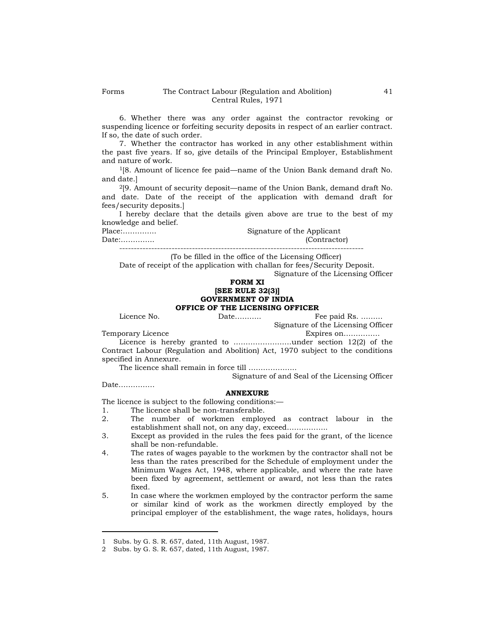6. Whether there was any order against the contractor revoking or suspending licence or forfeiting security deposits in respect of an earlier contract. If so, the date of such order.

7. Whether the contractor has worked in any other establishment within the past five years. If so, give details of the Principal Employer, Establishment and nature of work.

 $1[8.$  Amount of licence fee paid—name of the Union Bank demand draft No. and date.]

<sup>2</sup>[9. Amount of security deposit—name of the Union Bank, demand draft No. and date. Date of the receipt of the application with demand draft for fees/security deposits.]

I hereby declare that the details given above are true to the best of my knowledge and belief.

Place:………….. Signature of the Applicant Date:………….. (Contractor)

------------------------------------------------------------------------------------

(To be filled in the office of the Licensing Officer)

Date of receipt of the application with challan for fees/Security Deposit.

Signature of the Licensing Officer

# **FORM XI [SEE RULE 32(3)] GOVERNMENT OF INDIA OFFICE OF THE LICENSING OFFICER**<br>Fig. bate...........

Licence No. Date……….. Fee paid Rs. ………

Signature of the Licensing Officer<br>Expires on..............

Temporary Licence Expires on……………

Licence is hereby granted to ……………………under section 12(2) of the Contract Labour (Regulation and Abolition) Act, 1970 subject to the conditions specified in Annexure.

The licence shall remain in force till ………………..

Signature of and Seal of the Licensing Officer

Date……………

# **ANNEXURE**

The licence is subject to the following conditions:—

- 1. The licence shall be non-transferable.
- 2. The number of workmen employed as contract labour in the establishment shall not, on any day, exceed……………..
- 3. Except as provided in the rules the fees paid for the grant, of the licence shall be non-refundable.
- 4. The rates of wages payable to the workmen by the contractor shall not be less than the rates prescribed for the Schedule of employment under the Minimum Wages Act, 1948, where applicable, and where the rate have been fixed by agreement, settlement or award, not less than the rates fixed.
- 5. In case where the workmen employed by the contractor perform the same or similar kind of work as the workmen directly employed by the principal employer of the establishment, the wage rates, holidays, hours

<sup>1</sup> Subs. by G. S. R. 657, dated, 11th August, 1987.

<sup>2</sup> Subs. by G. S. R. 657, dated, 11th August, 1987.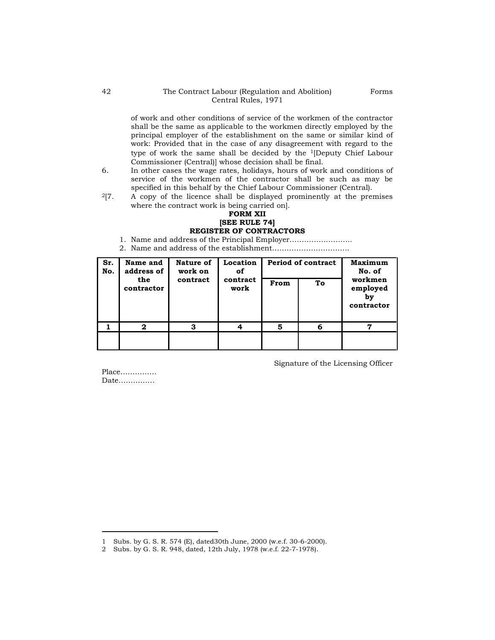# 42 The Contract Labour (Regulation and Abolition) Central Rules, 1971

of work and other conditions of service of the workmen of the contractor shall be the same as applicable to the workmen directly employed by the principal employer of the establishment on the same or similar kind of work: Provided that in the case of any disagreement with regard to the type of work the same shall be decided by the 1[Deputy Chief Labour Commissioner (Central)] whose decision shall be final.

- 6. In other cases the wage rates, holidays, hours of work and conditions of service of the workmen of the contractor shall be such as may be specified in this behalf by the Chief Labour Commissioner (Central).
- $\frac{2}{7}$ . A copy of the licence shall be displayed prominently at the premises where the contract work is being carried on].

# **FORM XII [SEE RULE 74] REGISTER OF CONTRACTORS**

- 1. Name and address of the Principal Employer……………………..
- 2. Name and address of the establishment…………………………..

| Sr.<br>No. | Name and<br>address of | Nature of<br>work on | Location<br>of   |            | <b>Period of contract</b> | <b>Maximum</b><br>No. of                |  |
|------------|------------------------|----------------------|------------------|------------|---------------------------|-----------------------------------------|--|
|            | the<br>contractor      | contract             | contract<br>work | Тo<br>From |                           | workmen<br>employed<br>bv<br>contractor |  |
|            | 2                      | 3                    |                  | 5          | 6                         | 7                                       |  |
|            |                        |                      |                  |            |                           |                                         |  |

Signature of the Licensing Officer

Place…………… Date……………

<sup>1</sup> Subs. by G. S. R. 574 (E), dated30th June, 2000 (w.e.f. 30-6-2000).

<sup>2</sup> Subs. by G. S. R. 948, dated, 12th July, 1978 (w.e.f. 22-7-1978).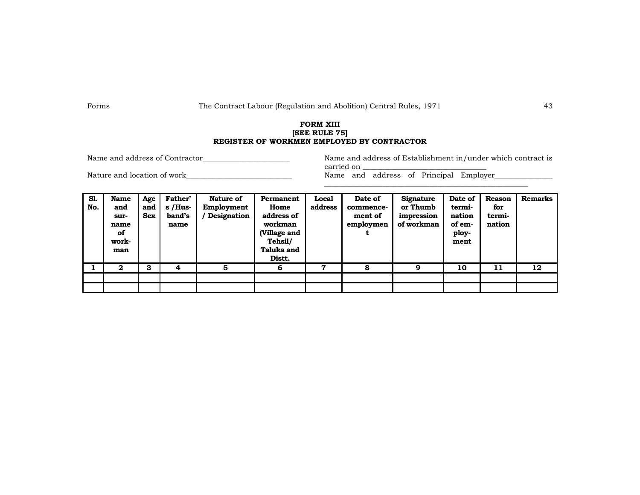# **FORM XIII [SEE RULE 75] REGISTER OF WORKMEN EMPLOYED BY CONTRACTOR**

Name and address of Contractor Theorem 2003 Name and address of Establishment in/under which contract is carried on

Nature and location of work\_\_\_\_\_\_\_\_\_\_\_\_\_\_\_\_\_\_\_\_\_\_\_\_\_\_\_\_\_\_\_\_\_ Name and address of Principal Employer\_\_\_\_\_\_\_\_\_\_\_\_

\_\_\_\_\_\_\_\_\_\_\_\_\_\_\_\_\_\_\_\_\_\_\_\_\_\_\_\_\_\_\_\_\_\_\_\_\_\_\_\_\_\_\_\_\_\_\_\_\_\_\_\_\_\_\_\_

| Sl.<br>No. | <b>Name</b><br>and<br>sur-<br>name<br>of<br>work-<br>man | Age<br>and<br>Sex | Father'<br>$s$ /Hus-<br>band's<br>name | Nature of<br>Employment<br>Designation | Permanent<br>Home<br>address of<br>workman<br>(Village and<br>Tehsil/<br>Taluka and<br>Distt. | Local<br>address | Date of<br>commence-<br>ment of<br>employmen | <b>Signature</b><br>or Thumb<br>impression<br>of workman | Date of<br>termi-<br>nation<br>of em-<br>ploy-<br>ment | <b>Reason</b><br>for<br>termi-<br>nation | <b>Remarks</b> |
|------------|----------------------------------------------------------|-------------------|----------------------------------------|----------------------------------------|-----------------------------------------------------------------------------------------------|------------------|----------------------------------------------|----------------------------------------------------------|--------------------------------------------------------|------------------------------------------|----------------|
|            | $\mathbf{2}$                                             | з                 | 4                                      | 5                                      | 6                                                                                             | 7                | 8                                            | 9                                                        | 10                                                     | 11                                       | 12             |
|            |                                                          |                   |                                        |                                        |                                                                                               |                  |                                              |                                                          |                                                        |                                          |                |
|            |                                                          |                   |                                        |                                        |                                                                                               |                  |                                              |                                                          |                                                        |                                          |                |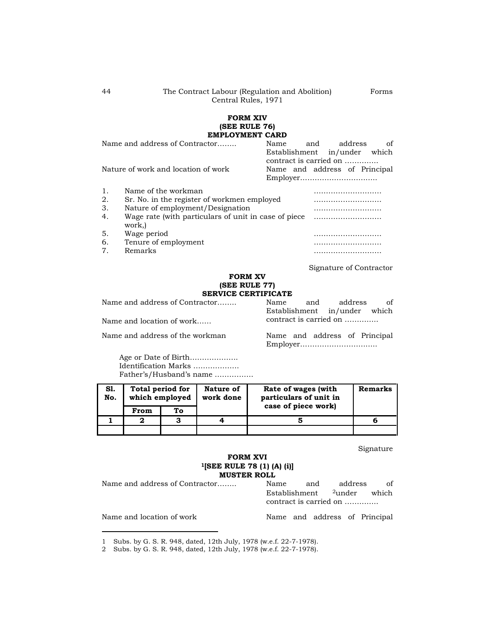# **FORM XIV (SEE RULE 76) EMPLOYMENT CARD**

|                                         | Name and address of Contractor                                 | Name | and | address                                                                                 | of |
|-----------------------------------------|----------------------------------------------------------------|------|-----|-----------------------------------------------------------------------------------------|----|
|                                         | Nature of work and location of work                            |      |     | Establishment in/under which<br>contract is carried on<br>Name and address of Principal |    |
|                                         |                                                                |      |     |                                                                                         |    |
| 1.                                      | Name of the workman                                            |      |     |                                                                                         |    |
| 2.                                      | Sr. No. in the register of workmen employed                    |      |     |                                                                                         |    |
| 3.                                      | Nature of employment/Designation                               |      |     |                                                                                         |    |
| 4.                                      | Wage rate (with particulars of unit in case of piece)<br>work, |      |     |                                                                                         |    |
| 5.                                      | Wage period                                                    |      |     |                                                                                         |    |
| 6.                                      | Tenure of employment                                           |      |     |                                                                                         |    |
| $7_{\scriptscriptstyle{\ddot{\imath}}}$ | Remarks                                                        |      |     |                                                                                         |    |

Signature of Contractor

### **FORM XV (SEE RULE 77) SERVICE CERTIFICATE**

Name and address of Contractor…….. Name and address of

Name and location of work…… contract is carried on ………….

Name and address of the workman Name and address of Principal

Employer…………………………..

Establishment in/under which

Age or Date of Birth……………….. Identification Marks ………………. Father"s/Husband"s name …………….

| S1.<br>No. |      | Total period for<br>which employed | Nature of<br>work done | Rate of wages (with<br>particulars of unit in | Remarks |
|------------|------|------------------------------------|------------------------|-----------------------------------------------|---------|
|            | From | To                                 |                        | case of piece work)                           |         |
|            | ◠    | 3                                  |                        |                                               |         |
|            |      |                                    |                        |                                               |         |

Signature

# **FORM XVI <sup>1</sup>[SEE RULE 78 (1) (A) (i)] MUSTER ROLL**

Name and address of Contractor…….. Name and address of Establishment 2under which contract is carried on …………..

Name and location of work Name and address of Principal

Forms

<sup>1</sup> Subs. by G. S. R. 948, dated, 12th July, 1978 (w.e.f. 22-7-1978).

<sup>2</sup> Subs. by G. S. R. 948, dated, 12th July, 1978 (w.e.f. 22-7-1978).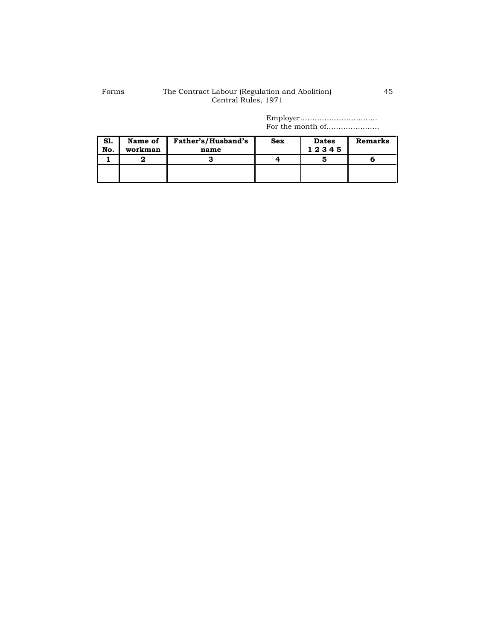# Forms The Contract Labour (Regulation and Abolition) Central Rules, 1971

Employer………………………….. For the month of………………….

| Sl.<br>No. | Name of<br>workman | Father's/Husband's<br>name | <b>Sex</b> | <b>Dates</b><br>12345 | <b>Remarks</b> |
|------------|--------------------|----------------------------|------------|-----------------------|----------------|
|            |                    | 3                          |            |                       |                |
|            |                    |                            |            |                       |                |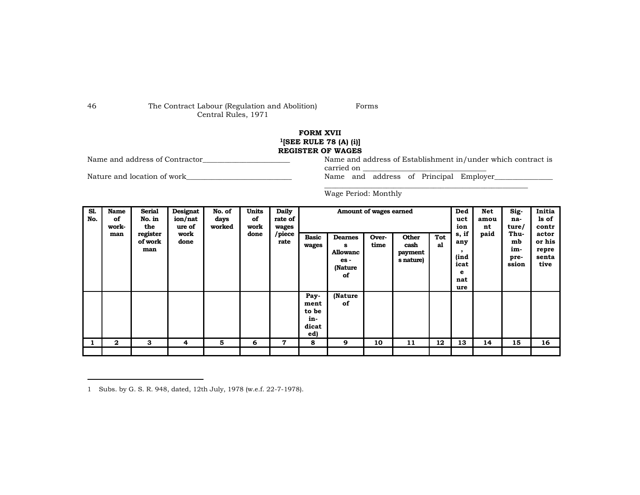# 46 The Contract Labour (Regulation and Abolition) Central Rules, 1971

Forms

# **FORM XVII <sup>1</sup>[SEE RULE 78 (A) (i)]**

**REGISTER OF WAGES**<br>Name and address of Contractor **REGISTER OF WAGES** 

Nature and location of work\_\_\_\_\_\_\_\_\_\_\_\_\_\_\_\_\_\_\_\_\_\_\_\_\_\_\_\_\_\_\_\_\_ Name and address of Principal Employer\_\_\_\_\_\_\_\_\_\_\_

Name and address of Establishment in/under which contract is carried on

\_\_\_\_\_\_\_\_\_\_\_\_\_\_\_\_\_\_\_\_\_\_\_\_\_\_\_\_\_\_\_\_\_\_\_\_\_\_\_\_\_\_\_\_\_\_\_\_\_\_\_\_\_\_\_\_

Wage Period: Monthly

1 Subs. by G. S. R. 948, dated, 12th July, 1978 (w.e.f. 22-7-1978).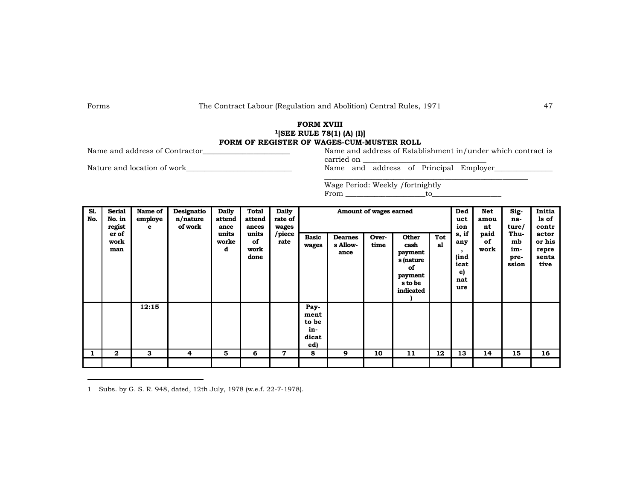# **FORM XVIII <sup>1</sup>[SEE RULE 78(1) (A) (I)] FORM OF REGISTER OF WAGES-CUM-MUSTER ROLL**<br>Name and address of Establishment in/under which contract is

Name and address of Contractor\_\_\_\_\_\_\_\_\_\_\_\_\_\_\_\_\_\_\_\_\_\_\_\_ Name and address of Establishment in/under which contract is

carried on

Nature and location of work Name and address of Principal Employer

\_\_\_\_\_\_\_\_\_\_\_\_\_\_\_\_\_\_\_\_\_\_\_\_\_\_\_\_\_\_\_\_\_\_\_\_\_\_\_\_\_\_\_\_\_\_\_\_\_\_\_\_\_\_\_\_ Wage Period: Weekly /fortnightly  $From \t\t to \t\t to$ 

| S1.<br>No. | <b>Serial</b><br>No. in<br>regist<br>er of<br>work<br>man | Name of<br>employe<br>e | Designatio<br>n/nature<br>of work | <b>Daily</b><br>attend<br>ance<br>units<br>worke<br>d | <b>Total</b><br>attend<br>ances<br>units<br>of<br>work<br>done | <b>Daily</b><br>rate of<br>wages<br>/piece<br>rate | <b>Basic</b><br>wages                        | <b>Dearnes</b><br>s Allow-<br>ance | Amount of wages earned<br>Over-<br>time | <b>Other</b><br>cash<br>payment<br>s (nature<br>of<br>payment<br>s to be<br>indicated | Tot<br>al | Ded<br>uct<br>ion<br>s, if<br>any<br>$\cdot$<br>(ind<br>icat<br>e)<br>nat<br>ure | Net<br>amou<br>nt<br>paid<br>of<br>work | Sig-<br>na-<br>ture/<br>Thu-<br>mb<br>im-<br>pre-<br>ssion | Initia<br>ls of<br>contr<br>actor<br>or his<br>repre<br>senta<br>tive |
|------------|-----------------------------------------------------------|-------------------------|-----------------------------------|-------------------------------------------------------|----------------------------------------------------------------|----------------------------------------------------|----------------------------------------------|------------------------------------|-----------------------------------------|---------------------------------------------------------------------------------------|-----------|----------------------------------------------------------------------------------|-----------------------------------------|------------------------------------------------------------|-----------------------------------------------------------------------|
|            |                                                           | 12:15                   |                                   |                                                       |                                                                |                                                    | Pay-<br>ment<br>to be<br>in-<br>dicat<br>ed) |                                    |                                         |                                                                                       |           |                                                                                  |                                         |                                                            |                                                                       |
| 1          | $\mathbf{2}$                                              | 3                       | 4                                 | 5                                                     | 6                                                              | 7                                                  | 8                                            | 9                                  | 10                                      | 11                                                                                    | 12        | 13                                                                               | 14                                      | 15                                                         | 16                                                                    |
|            |                                                           |                         |                                   |                                                       |                                                                |                                                    |                                              |                                    |                                         |                                                                                       |           |                                                                                  |                                         |                                                            |                                                                       |

1 Subs. by G. S. R. 948, dated, 12th July, 1978 (w.e.f. 22-7-1978).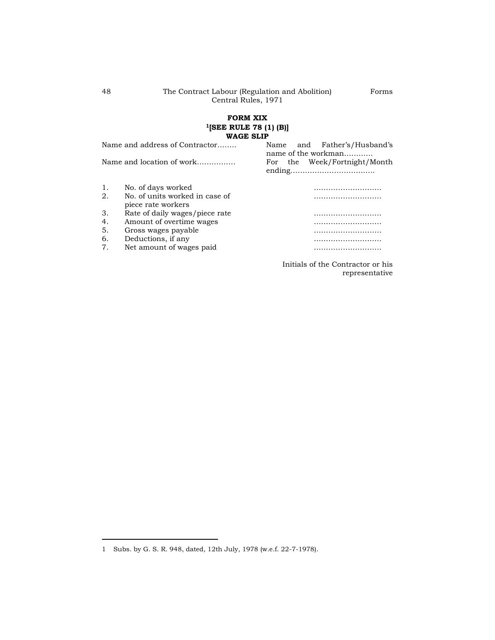# **FORM XIX <sup>1</sup>[SEE RULE 78 (1) (B)] WAGE SLIP**

|    | Name and address of Contractor                       | Father's/Husband's<br>and<br>Name<br>name of the workman |
|----|------------------------------------------------------|----------------------------------------------------------|
|    | Name and location of work                            | For the Week/Fortnight/Month                             |
| 1. | No. of days worked                                   |                                                          |
| 2. | No. of units worked in case of<br>piece rate workers |                                                          |
| 3. | Rate of daily wages/piece rate                       |                                                          |
| 4. | Amount of overtime wages                             |                                                          |
| 5. | Gross wages payable                                  |                                                          |
| 6. | Deductions, if any                                   |                                                          |
| 7. | Net amount of wages paid                             |                                                          |
|    |                                                      | Initials of the Contractor or his                        |

representative

Forms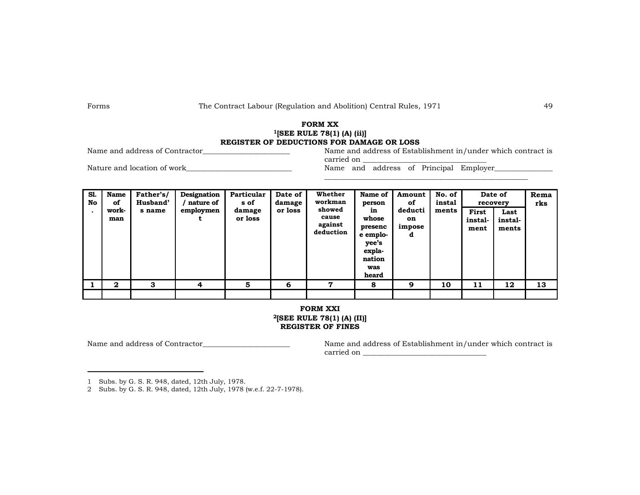# **FORM XX <sup>1</sup>[SEE RULE 78(1) (A) (ii)] REGISTER OF DEDUCTIONS FOR DAMAGE OR LOSS**

Name and address of Establishment in/under which contract is carried on

\_\_\_\_\_\_\_\_\_\_\_\_\_\_\_\_\_\_\_\_\_\_\_\_\_\_\_\_\_\_\_\_\_\_\_\_\_\_\_\_\_\_\_\_\_\_\_\_\_\_\_\_\_\_\_\_

Nature and location of work Name and address of Principal Employer

| S1.<br>No | <b>Name</b><br>of<br>work-<br>man | Father's/<br>Husband'<br>s name | Designation<br>nature of<br>employmen | Particular<br>s of<br>damage<br>or loss | Date of<br>damage<br>or loss | Whether<br>workman<br>showed<br>cause<br>against<br>deduction | Name of<br>person<br>in<br>whose<br>presenc<br>e emplo-<br>yee's<br>expla-<br>nation<br>was<br>heard | Amount<br>of<br>deducti<br>on<br>impose<br>d | No. of<br>instal<br>ments | recovery<br>First<br>instal-<br>ment | Date of<br>Last<br>instal-<br>ments | Rema<br>rks |
|-----------|-----------------------------------|---------------------------------|---------------------------------------|-----------------------------------------|------------------------------|---------------------------------------------------------------|------------------------------------------------------------------------------------------------------|----------------------------------------------|---------------------------|--------------------------------------|-------------------------------------|-------------|
|           | $\mathbf{2}$                      | 3                               | 4                                     | 5                                       | 6                            | 7                                                             | 8                                                                                                    | 9                                            | 10                        | 11                                   | 12                                  | 13          |
|           |                                   |                                 |                                       |                                         |                              |                                                               |                                                                                                      |                                              |                           |                                      |                                     |             |

# **FORM XXI <sup>2</sup>[SEE RULE 78(1) (A) (II)] REGISTER OF FINES**

1 Subs. by G. S. R. 948, dated, 12th July, 1978.

2 Subs. by G. S. R. 948, dated, 12th July, 1978 (w.e.f. 22-7-1978).

Name and address of Contractor\_\_\_\_\_\_\_\_\_\_\_\_\_\_\_\_\_\_\_\_\_\_\_\_ Name and address of Establishment in/under which contract is carried on \_\_\_\_\_\_\_\_\_\_\_\_\_\_\_\_\_\_\_\_\_\_\_\_\_\_\_\_\_\_\_\_\_\_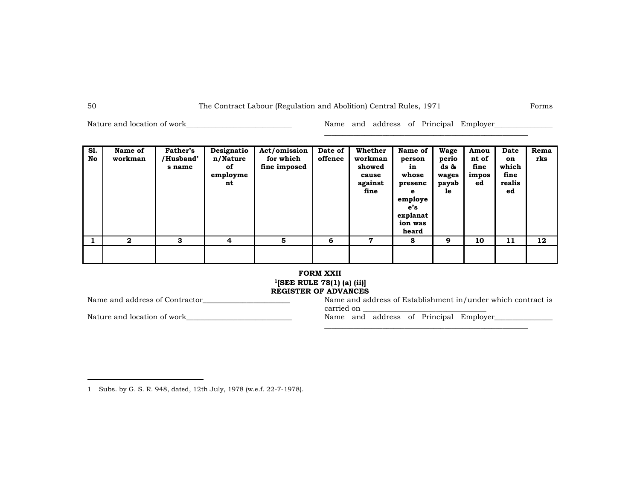Nature and location of work\_\_\_\_\_\_\_\_\_\_\_\_\_\_\_\_\_\_\_\_\_\_\_\_\_\_\_\_\_\_\_\_\_\_ Name and address of Principal Employer\_\_\_\_\_\_\_\_\_\_

\_\_\_\_\_\_\_\_\_\_\_\_\_\_\_\_\_\_\_\_\_\_\_\_\_\_\_\_\_\_\_\_\_\_\_\_\_\_\_\_\_\_\_\_\_\_\_\_\_\_\_\_\_\_\_\_

| S1.<br>No | Name of<br>workman | <b>Father's</b><br>/Husband'<br>s name | Designatio<br>n/Nature<br>оf<br>employme<br>nt | Act/omission<br>for which<br>fine imposed | Date of<br>offence | Whether<br>workman<br>showed<br>cause<br>against<br>fine | Name of<br>person<br>in<br>whose<br>presenc<br>e<br>employe<br>e's<br>explanat<br>ion was<br>heard | Wage<br>perio<br>ds &<br>wages<br>payab<br>1e | Amou<br>nt of<br>fine<br>impos<br>ed | Date<br>on<br>which<br>fine<br>realis<br>ed | Rema<br>rks |
|-----------|--------------------|----------------------------------------|------------------------------------------------|-------------------------------------------|--------------------|----------------------------------------------------------|----------------------------------------------------------------------------------------------------|-----------------------------------------------|--------------------------------------|---------------------------------------------|-------------|
|           | $\mathbf{2}$       | 3                                      | $\overline{4}$                                 | 5                                         | 6                  | 7                                                        | 8                                                                                                  | 9                                             | 10                                   | 11                                          | 12          |
|           |                    |                                        |                                                |                                           |                    |                                                          |                                                                                                    |                                               |                                      |                                             |             |

# **FORM XXII <sup>1</sup>[SEE RULE 78(1) (a) (ii)]**

**REGISTER OF ADVANCES**<br>Name and address of Contractor<br>Name and ad

Nature and location of work\_\_\_\_\_\_\_\_\_\_\_\_\_\_\_\_\_\_\_\_\_\_\_\_\_\_\_\_\_ Name and address of Principal Employer\_\_\_\_\_\_\_\_\_\_\_\_\_\_\_\_

Name and address of Establishment in/under which contract is carried on

\_\_\_\_\_\_\_\_\_\_\_\_\_\_\_\_\_\_\_\_\_\_\_\_\_\_\_\_\_\_\_\_\_\_\_\_\_\_\_\_\_\_\_\_\_\_\_\_\_\_\_\_\_\_\_\_

<sup>1</sup> Subs. by G. S. R. 948, dated, 12th July, 1978 (w.e.f. 22-7-1978).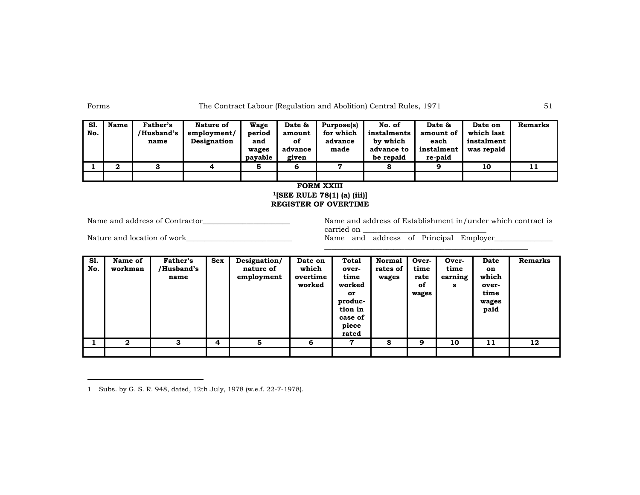| S1.<br>No. | <b>Name</b> | Father's<br>/Husband's<br>name | Nature of<br>employment/<br>Designation | Wage<br>period<br>and<br>wages<br>payable | Date &<br>amount<br>of<br>advance<br>given | Purpose(s)<br>for which<br>advance<br>made | No. of<br>instalments<br>by which<br>advance to<br>be repaid | Date &<br>amount of<br>each<br>instalment<br>re-paid | Date on<br>which last<br>instalment<br>was repaid | Remarks |
|------------|-------------|--------------------------------|-----------------------------------------|-------------------------------------------|--------------------------------------------|--------------------------------------------|--------------------------------------------------------------|------------------------------------------------------|---------------------------------------------------|---------|
|            | ◠           |                                |                                         |                                           | 6                                          | ,                                          |                                                              | a                                                    | 10                                                | 11      |
|            |             |                                |                                         |                                           |                                            |                                            |                                                              |                                                      |                                                   |         |

# **FORM XXIII <sup>1</sup>[SEE RULE 78(1) (a) (iii)] REGISTER OF OVERTIME**

Name and address of Contractor\_\_\_\_\_\_\_\_\_\_\_\_\_\_\_\_\_\_\_\_\_\_\_\_ Name and address of Establishment in/under which contract is carried on

\_\_\_\_\_\_\_\_\_\_\_\_\_\_\_\_\_\_\_\_\_\_\_\_\_\_\_\_\_\_\_\_\_\_\_\_\_\_\_\_\_\_\_\_\_\_\_\_\_\_\_\_\_\_\_\_

Nature and location of work\_\_\_\_\_\_\_\_\_\_\_\_\_\_\_\_\_\_\_\_\_\_\_\_\_\_\_\_\_ Name and address of Principal Employer\_\_\_\_\_\_\_\_\_\_\_\_\_\_\_\_

| S1.<br>No. | Name of<br>workman | <b>Father's</b><br>/Husband's<br>name | <b>Sex</b> | Designation/<br>nature of<br>employment | Date on<br>which<br>overtime<br>worked | Total<br>over-<br>time<br>worked<br>or<br>produc-<br>tion in<br>case of<br>piece<br>rated | <b>Normal</b><br>rates of<br>wages | Over-<br>time<br>rate<br>of<br>wages | Over-<br>time<br>earning<br>s | <b>Date</b><br>on<br>which<br>over-<br>time<br>wages<br>paid | Remarks |
|------------|--------------------|---------------------------------------|------------|-----------------------------------------|----------------------------------------|-------------------------------------------------------------------------------------------|------------------------------------|--------------------------------------|-------------------------------|--------------------------------------------------------------|---------|
|            | $\mathbf{2}$       | 3                                     | 4          | 5                                       | 6                                      | 7                                                                                         | 8                                  | 9                                    | 10                            | 11                                                           | 12      |
|            |                    |                                       |            |                                         |                                        |                                                                                           |                                    |                                      |                               |                                                              |         |

1 Subs. by G. S. R. 948, dated, 12th July, 1978 (w.e.f. 22-7-1978).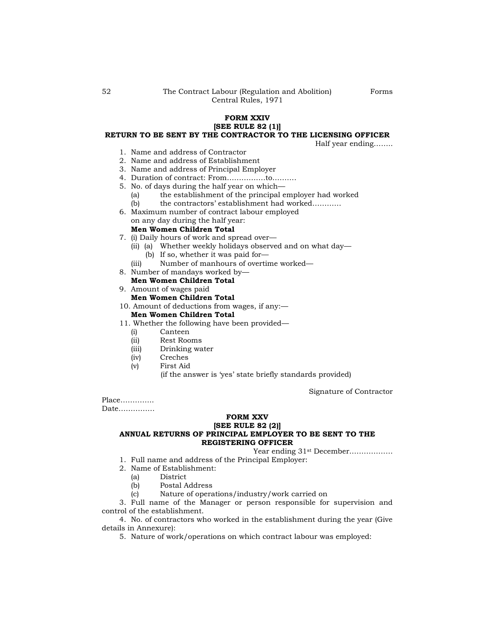## **FORM XXIV [SEE RULE 82 (1)] RETURN TO BE SENT BY THE CONTRACTOR TO THE LICENSING OFFICER**

Half year ending……..

- 1. Name and address of Contractor
- 2. Name and address of Establishment
- 3. Name and address of Principal Employer
- 4. Duration of contract: From…………….to……….
- 5. No. of days during the half year on which—
	- (a) the establishment of the principal employer had worked
	- (b) the contractors" establishment had worked…………
- 6. Maximum number of contract labour employed on any day during the half year:

# **Men Women Children Total**

- 7. (i) Daily hours of work and spread over—
	- (ii) (a) Whether weekly holidays observed and on what day—
		- (b) If so, whether it was paid for—
	- (iii) Number of manhours of overtime worked—
- 8. Number of mandays worked by—
- **Men Women Children Total** 9. Amount of wages paid
	- **Men Women Children Total**
- 10. Amount of deductions from wages, if any:—

# **Men Women Children Total**

- 11. Whether the following have been provided—
	- (i) Canteen
	- (ii) Rest Rooms
	- (iii) Drinking water
	- (iv) Creches
	- (v) First Aid (if the answer is 'yes' state briefly standards provided)

Signature of Contractor

Place………….. Date……………

### **FORM XXV**

# **[SEE RULE 82 (2)]**

# **ANNUAL RETURNS OF PRINCIPAL EMPLOYER TO BE SENT TO THE REGISTERING OFFICER**

Year ending 31st December………………

- 1. Full name and address of the Principal Employer:
- 2. Name of Establishment:
	- (a) District
	- (b) Postal Address
	- (c) Nature of operations/industry/work carried on

3. Full name of the Manager or person responsible for supervision and control of the establishment.

4. No. of contractors who worked in the establishment during the year (Give details in Annexure):

5. Nature of work/operations on which contract labour was employed: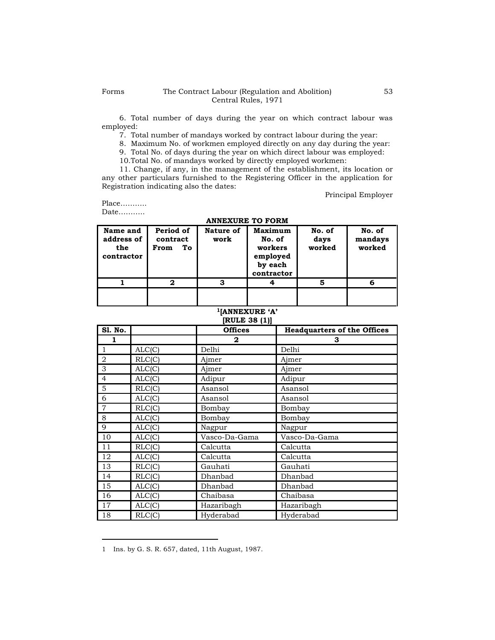6. Total number of days during the year on which contract labour was employed:

7. Total number of mandays worked by contract labour during the year:

8. Maximum No. of workmen employed directly on any day during the year:

9. Total No. of days during the year on which direct labour was employed:

10.Total No. of mandays worked by directly employed workmen:

11. Change, if any, in the management of the establishment, its location or any other particulars furnished to the Registering Officer in the application for Registration indicating also the dates:

Principal Employer

Place……….. Date………..

**ANNEXURE TO FORM**

| Name and<br>address of<br>the<br>contractor | Period of<br>contract<br>To<br>From | Nature of<br>work | Maximum<br>No. of<br>workers<br>employed<br>by each<br>contractor | No. of<br>days<br>worked | No. of<br>mandays<br>worked |
|---------------------------------------------|-------------------------------------|-------------------|-------------------------------------------------------------------|--------------------------|-----------------------------|
|                                             | 2                                   | з                 |                                                                   | 5                        | 6                           |
|                                             |                                     |                   |                                                                   |                          |                             |

#### **<sup>1</sup>[ANNEXURE 'A' [RULE 38 (1)]**

| S1. No.        |                            | <b>Offices</b> | <b>Headquarters of the Offices</b> |
|----------------|----------------------------|----------------|------------------------------------|
| 1              |                            | $\mathbf{2}$   | З                                  |
| $\mathbf{1}$   | $\overline{\text{ALC}}(C)$ | Delhi          | Delhi                              |
| $\overline{2}$ | RLC(C)                     | Ajmer          | Ajmer                              |
| 3              | ALC(C)                     | Ajmer          | Ajmer                              |
| $\overline{4}$ | ALC(C)                     | Adipur         | Adipur                             |
| 5              | RLC(C)                     | Asansol        | Asansol                            |
| 6              | ALC(C)                     | Asansol        | Asansol                            |
| $\overline{7}$ | $\overline{\text{RLC}}(C)$ | Bombay         | Bombay                             |
| 8              | ALC(C)                     | Bombay         | Bombay                             |
| 9              | $\overline{ALC(C)}$        | Nagpur         | Nagpur                             |
| 10             | ALC(C)                     | Vasco-Da-Gama  | Vasco-Da-Gama                      |
| 11             | RLC(C)                     | Calcutta       | Calcutta                           |
| 12             | ALC(C)                     | Calcutta       | Calcutta                           |
| 13             | $\overline{\text{RLC}}(C)$ | Gauhati        | Gauhati                            |
| 14             | RLC(C)                     | Dhanbad        | Dhanbad                            |
| 15             | $\overline{ALC(C)}$        | Dhanbad        | Dhanbad                            |
| 16             | ALC(C)                     | Chaibasa       | Chaibasa                           |
| 17             | ALC(C)                     | Hazaribagh     | Hazaribagh                         |
| 18             | RLC(C)                     | Hyderabad      | Hyderabad                          |

<sup>1</sup> Ins. by G. S. R. 657, dated, 11th August, 1987.